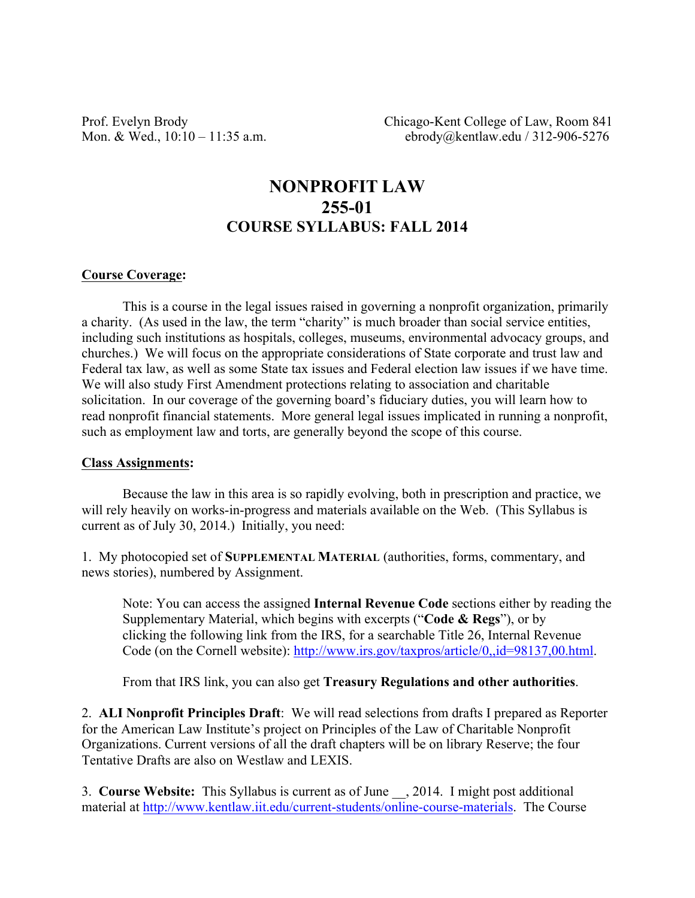Prof. Evelyn Brody Chicago-Kent College of Law, Room 841 Mon. & Wed., 10:10 – 11:35 a.m. ebrody@kentlaw.edu / 312-906-5276

# **NONPROFIT LAW 255-01 COURSE SYLLABUS: FALL 2014**

#### **Course Coverage:**

This is a course in the legal issues raised in governing a nonprofit organization, primarily a charity. (As used in the law, the term "charity" is much broader than social service entities, including such institutions as hospitals, colleges, museums, environmental advocacy groups, and churches.) We will focus on the appropriate considerations of State corporate and trust law and Federal tax law, as well as some State tax issues and Federal election law issues if we have time. We will also study First Amendment protections relating to association and charitable solicitation. In our coverage of the governing board's fiduciary duties, you will learn how to read nonprofit financial statements. More general legal issues implicated in running a nonprofit, such as employment law and torts, are generally beyond the scope of this course.

#### **Class Assignments:**

Because the law in this area is so rapidly evolving, both in prescription and practice, we will rely heavily on works-in-progress and materials available on the Web. (This Syllabus is current as of July 30, 2014.) Initially, you need:

1. My photocopied set of **SUPPLEMENTAL MATERIAL** (authorities, forms, commentary, and news stories), numbered by Assignment.

Note: You can access the assigned **Internal Revenue Code** sections either by reading the Supplementary Material, which begins with excerpts ("**Code & Regs**"), or by clicking the following link from the IRS, for a searchable Title 26, Internal Revenue Code (on the Cornell website): http://www.irs.gov/taxpros/article/0,,id=98137,00.html.

From that IRS link, you can also get **Treasury Regulations and other authorities**.

2. **ALI Nonprofit Principles Draft**: We will read selections from drafts I prepared as Reporter for the American Law Institute's project on Principles of the Law of Charitable Nonprofit Organizations. Current versions of all the draft chapters will be on library Reserve; the four Tentative Drafts are also on Westlaw and LEXIS.

3. **Course Website:** This Syllabus is current as of June \_\_, 2014. I might post additional material at http://www.kentlaw.iit.edu/current-students/online-course-materials. The Course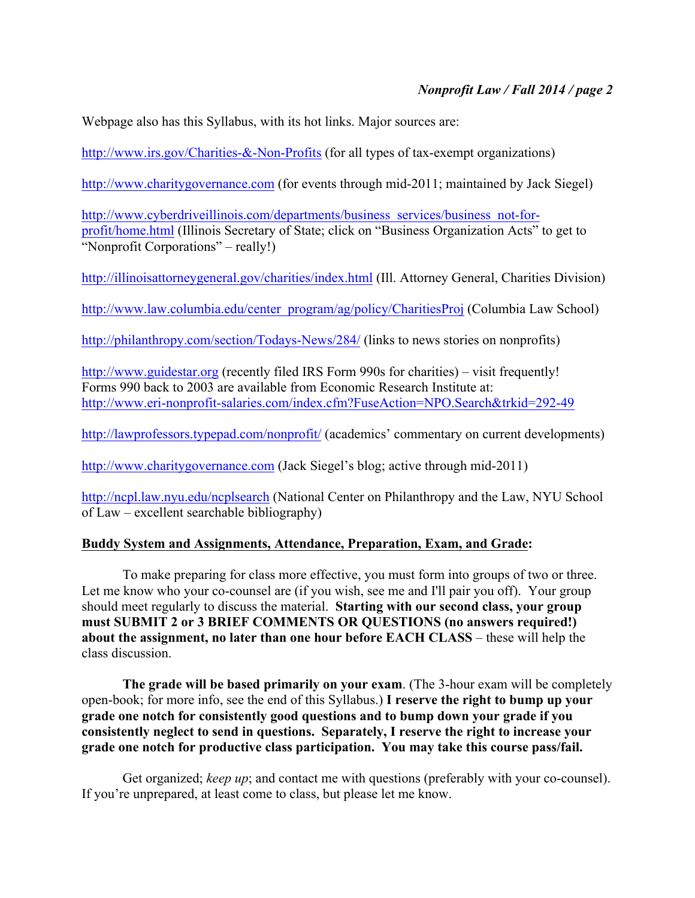Webpage also has this Syllabus, with its hot links. Major sources are:

http://www.irs.gov/Charities-&-Non-Profits (for all types of tax-exempt organizations)

http://www.charitygovernance.com (for events through mid-2011; maintained by Jack Siegel)

http://www.cyberdriveillinois.com/departments/business\_services/business\_not-forprofit/home.html (Illinois Secretary of State; click on "Business Organization Acts" to get to "Nonprofit Corporations" – really!)

http://illinoisattorneygeneral.gov/charities/index.html (Ill. Attorney General, Charities Division)

http://www.law.columbia.edu/center\_program/ag/policy/CharitiesProj (Columbia Law School)

http://philanthropy.com/section/Todays-News/284/ (links to news stories on nonprofits)

http://www.guidestar.org (recently filed IRS Form 990s for charities) – visit frequently! Forms 990 back to 2003 are available from Economic Research Institute at: http://www.eri-nonprofit-salaries.com/index.cfm?FuseAction=NPO.Search&trkid=292-49

http://lawprofessors.typepad.com/nonprofit/ (academics' commentary on current developments)

http://www.charitygovernance.com (Jack Siegel's blog; active through mid-2011)

http://ncpl.law.nyu.edu/ncplsearch (National Center on Philanthropy and the Law, NYU School of Law – excellent searchable bibliography)

# **Buddy System and Assignments, Attendance, Preparation, Exam, and Grade:**

To make preparing for class more effective, you must form into groups of two or three. Let me know who your co-counsel are (if you wish, see me and I'll pair you off). Your group should meet regularly to discuss the material. **Starting with our second class, your group must SUBMIT 2 or 3 BRIEF COMMENTS OR QUESTIONS (no answers required!) about the assignment, no later than one hour before EACH CLASS** – these will help the class discussion.

**The grade will be based primarily on your exam**. (The 3-hour exam will be completely open-book; for more info, see the end of this Syllabus.) **I reserve the right to bump up your grade one notch for consistently good questions and to bump down your grade if you consistently neglect to send in questions. Separately, I reserve the right to increase your grade one notch for productive class participation. You may take this course pass/fail.**

Get organized; *keep up*; and contact me with questions (preferably with your co-counsel). If you're unprepared, at least come to class, but please let me know.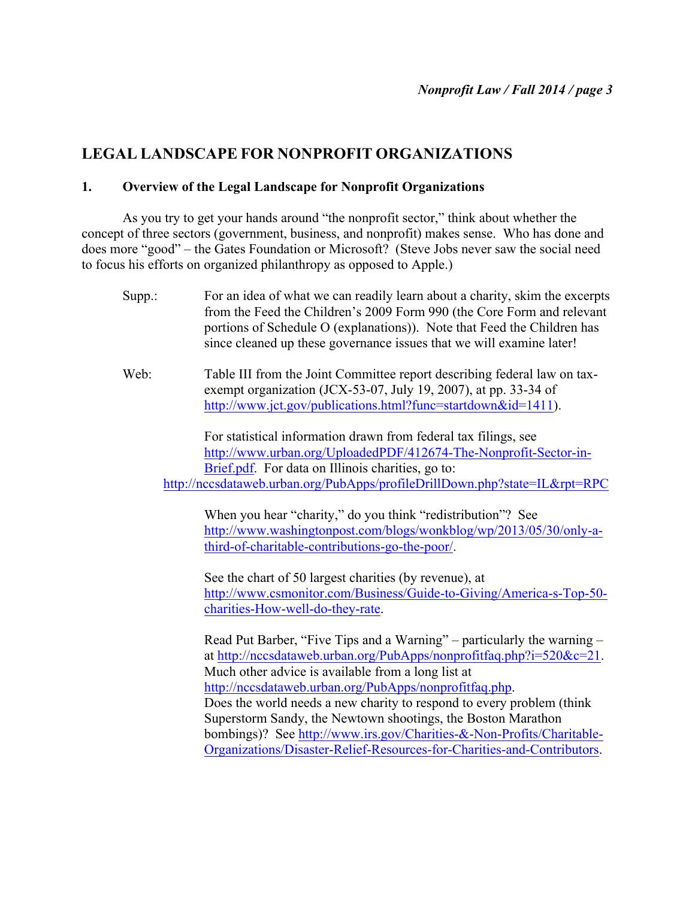# **LEGAL LANDSCAPE FOR NONPROFIT ORGANIZATIONS**

# **1. Overview of the Legal Landscape for Nonprofit Organizations**

As you try to get your hands around "the nonprofit sector," think about whether the concept of three sectors (government, business, and nonprofit) makes sense. Who has done and does more "good" – the Gates Foundation or Microsoft? (Steve Jobs never saw the social need to focus his efforts on organized philanthropy as opposed to Apple.)

| Supp.: | For an idea of what we can readily learn about a charity, skim the excerpts<br>from the Feed the Children's 2009 Form 990 (the Core Form and relevant<br>portions of Schedule O (explanations)). Note that Feed the Children has<br>since cleaned up these governance issues that we will examine later!                                                                                                                                                                           |
|--------|------------------------------------------------------------------------------------------------------------------------------------------------------------------------------------------------------------------------------------------------------------------------------------------------------------------------------------------------------------------------------------------------------------------------------------------------------------------------------------|
| Web:   | Table III from the Joint Committee report describing federal law on tax-<br>exempt organization (JCX-53-07, July 19, 2007), at pp. 33-34 of<br>http://www.jct.gov/publications.html?func=startdown&id=1411).                                                                                                                                                                                                                                                                       |
|        | For statistical information drawn from federal tax filings, see                                                                                                                                                                                                                                                                                                                                                                                                                    |
|        | http://www.urban.org/UploadedPDF/412674-The-Nonprofit-Sector-in-<br>Brief.pdf. For data on Illinois charities, go to:                                                                                                                                                                                                                                                                                                                                                              |
|        | http://nccsdataweb.urban.org/PubApps/profileDrillDown.php?state=IL&rpt=RPC                                                                                                                                                                                                                                                                                                                                                                                                         |
|        | When you hear "charity," do you think "redistribution"? See<br>http://www.washingtonpost.com/blogs/wonkblog/wp/2013/05/30/only-a-<br>third-of-charitable-contributions-go-the-poor/.<br>See the chart of 50 largest charities (by revenue), at<br>http://www.csmonitor.com/Business/Guide-to-Giving/America-s-Top-50-<br>charities-How-well-do-they-rate.                                                                                                                          |
|        | Read Put Barber, "Five Tips and a Warning" – particularly the warning –<br>at http://nccsdataweb.urban.org/PubApps/nonprofitfaq.php?i=520&c=21.<br>Much other advice is available from a long list at<br>http://nccsdataweb.urban.org/PubApps/nonprofitfaq.php.<br>Does the world needs a new charity to respond to every problem (think)<br>Superstorm Sandy, the Newtown shootings, the Boston Marathon<br>bombings)? See http://www.irs.gov/Charities-&-Non-Profits/Charitable- |
|        | Organizations/Disaster-Relief-Resources-for-Charities-and-Contributors.                                                                                                                                                                                                                                                                                                                                                                                                            |
|        |                                                                                                                                                                                                                                                                                                                                                                                                                                                                                    |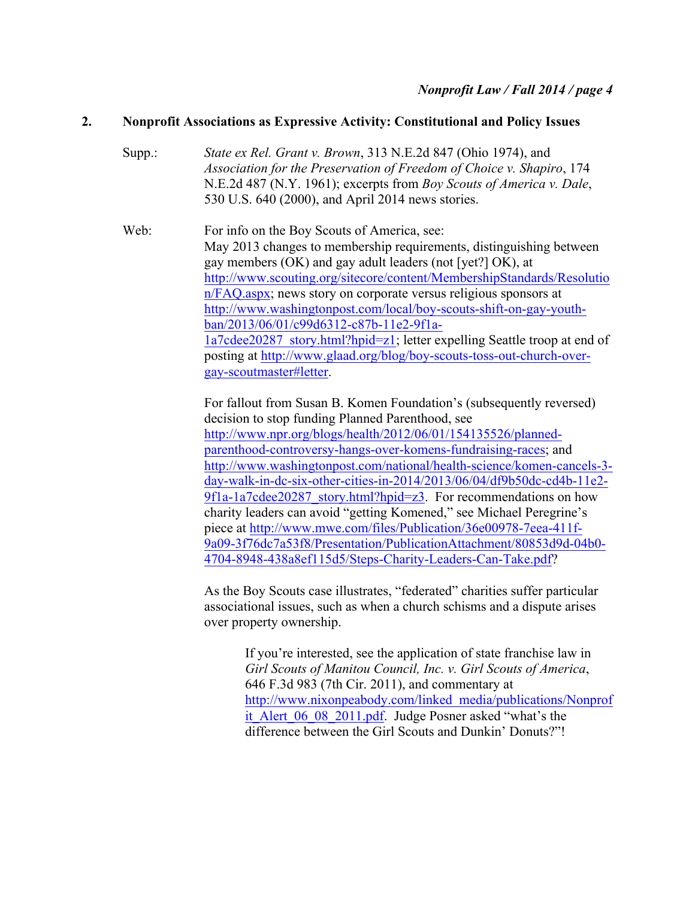# **2. Nonprofit Associations as Expressive Activity: Constitutional and Policy Issues**

Supp.: *State ex Rel. Grant v. Brown*, 313 N.E.2d 847 (Ohio 1974), and *Association for the Preservation of Freedom of Choice v. Shapiro*, 174 N.E.2d 487 (N.Y. 1961); excerpts from *Boy Scouts of America v. Dale*, 530 U.S. 640 (2000), and April 2014 news stories.

Web: For info on the Boy Scouts of America, see: May 2013 changes to membership requirements, distinguishing between gay members (OK) and gay adult leaders (not [yet?] OK), at http://www.scouting.org/sitecore/content/MembershipStandards/Resolutio n/FAQ.aspx; news story on corporate versus religious sponsors at http://www.washingtonpost.com/local/boy-scouts-shift-on-gay-youthban/2013/06/01/c99d6312-c87b-11e2-9f1a-1a7cdee20287\_story.html?hpid=z1; letter expelling Seattle troop at end of posting at http://www.glaad.org/blog/boy-scouts-toss-out-church-overgay-scoutmaster#letter.

> For fallout from Susan B. Komen Foundation's (subsequently reversed) decision to stop funding Planned Parenthood, see http://www.npr.org/blogs/health/2012/06/01/154135526/plannedparenthood-controversy-hangs-over-komens-fundraising-races; and http://www.washingtonpost.com/national/health-science/komen-cancels-3 day-walk-in-dc-six-other-cities-in-2014/2013/06/04/df9b50dc-cd4b-11e2- 9f1a-1a7cdee20287\_story.html?hpid=z3. For recommendations on how charity leaders can avoid "getting Komened," see Michael Peregrine's piece at http://www.mwe.com/files/Publication/36e00978-7eea-411f-9a09-3f76dc7a53f8/Presentation/PublicationAttachment/80853d9d-04b0- 4704-8948-438a8ef115d5/Steps-Charity-Leaders-Can-Take.pdf?

As the Boy Scouts case illustrates, "federated" charities suffer particular associational issues, such as when a church schisms and a dispute arises over property ownership.

> If you're interested, see the application of state franchise law in *Girl Scouts of Manitou Council, Inc. v. Girl Scouts of America*, 646 F.3d 983 (7th Cir. 2011), and commentary at http://www.nixonpeabody.com/linked\_media/publications/Nonprof it Alert 06 08 2011.pdf. Judge Posner asked "what's the difference between the Girl Scouts and Dunkin' Donuts?"!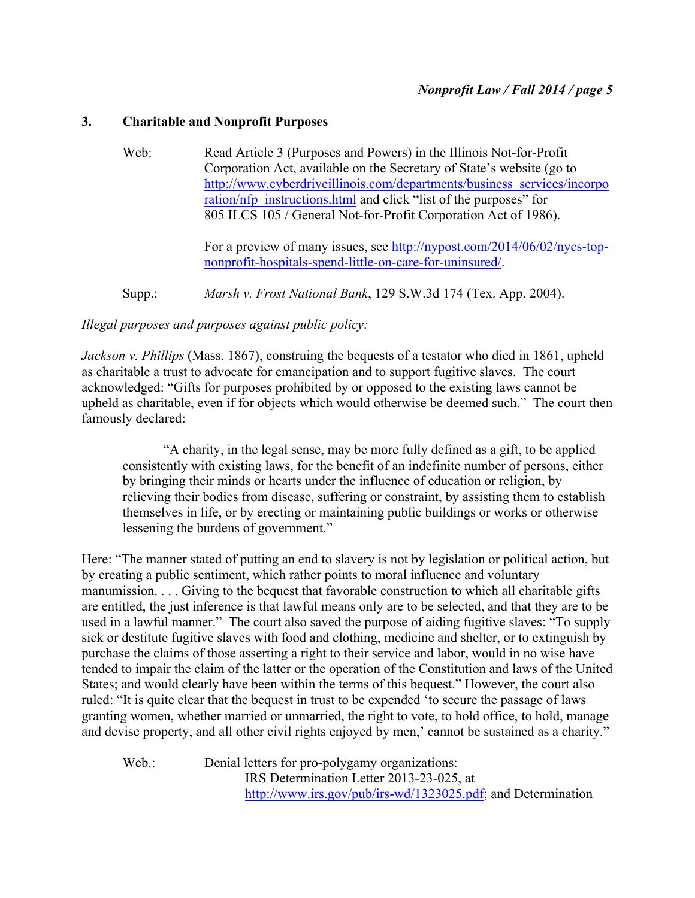# **3. Charitable and Nonprofit Purposes**

Web: Read Article 3 (Purposes and Powers) in the Illinois Not-for-Profit Corporation Act, available on the Secretary of State's website (go to http://www.cyberdriveillinois.com/departments/business\_services/incorpo ration/nfp\_instructions.html and click "list of the purposes" for 805 ILCS 105 / General Not-for-Profit Corporation Act of 1986).

> For a preview of many issues, see http://nypost.com/2014/06/02/nycs-topnonprofit-hospitals-spend-little-on-care-for-uninsured/.

Supp.: *Marsh v. Frost National Bank*, 129 S.W.3d 174 (Tex. App. 2004).

*Illegal purposes and purposes against public policy:*

*Jackson v. Phillips* (Mass. 1867), construing the bequests of a testator who died in 1861, upheld as charitable a trust to advocate for emancipation and to support fugitive slaves. The court acknowledged: "Gifts for purposes prohibited by or opposed to the existing laws cannot be upheld as charitable, even if for objects which would otherwise be deemed such." The court then famously declared:

"A charity, in the legal sense, may be more fully defined as a gift, to be applied consistently with existing laws, for the benefit of an indefinite number of persons, either by bringing their minds or hearts under the influence of education or religion, by relieving their bodies from disease, suffering or constraint, by assisting them to establish themselves in life, or by erecting or maintaining public buildings or works or otherwise lessening the burdens of government."

Here: "The manner stated of putting an end to slavery is not by legislation or political action, but by creating a public sentiment, which rather points to moral influence and voluntary manumission. . . . Giving to the bequest that favorable construction to which all charitable gifts are entitled, the just inference is that lawful means only are to be selected, and that they are to be used in a lawful manner." The court also saved the purpose of aiding fugitive slaves: "To supply sick or destitute fugitive slaves with food and clothing, medicine and shelter, or to extinguish by purchase the claims of those asserting a right to their service and labor, would in no wise have tended to impair the claim of the latter or the operation of the Constitution and laws of the United States; and would clearly have been within the terms of this bequest." However, the court also ruled: "It is quite clear that the bequest in trust to be expended 'to secure the passage of laws granting women, whether married or unmarried, the right to vote, to hold office, to hold, manage and devise property, and all other civil rights enjoyed by men,' cannot be sustained as a charity."

Web.: Denial letters for pro-polygamy organizations: IRS Determination Letter 2013-23-025, at http://www.irs.gov/pub/irs-wd/1323025.pdf; and Determination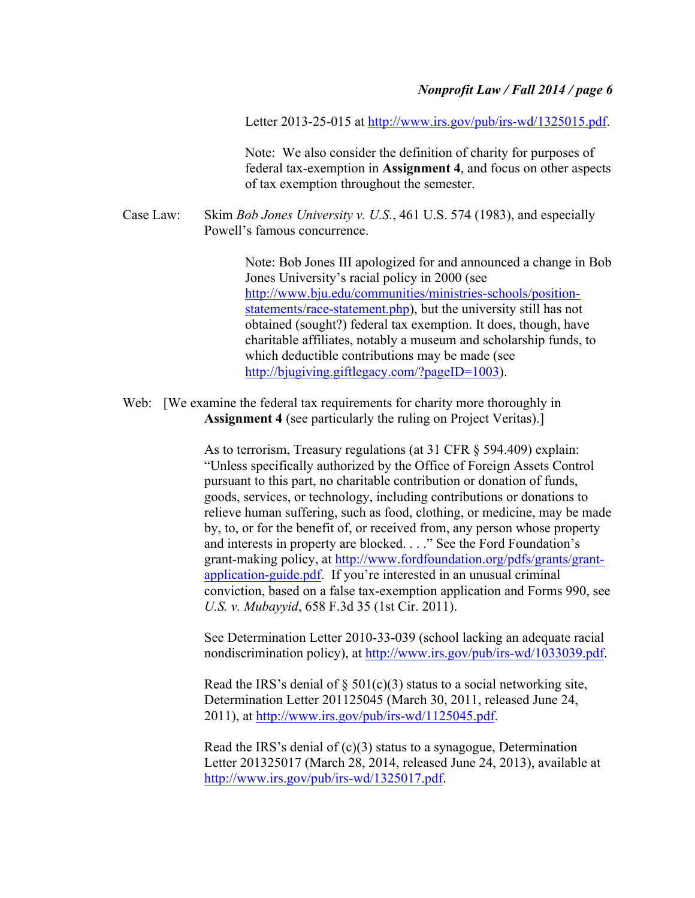Letter 2013-25-015 at http://www.irs.gov/pub/irs-wd/1325015.pdf.

Note: We also consider the definition of charity for purposes of federal tax-exemption in **Assignment 4**, and focus on other aspects of tax exemption throughout the semester.

Case Law: Skim *Bob Jones University v. U.S.*, 461 U.S. 574 (1983), and especially Powell's famous concurrence.

> Note: Bob Jones III apologized for and announced a change in Bob Jones University's racial policy in 2000 (see http://www.bju.edu/communities/ministries-schools/positionstatements/race-statement.php), but the university still has not obtained (sought?) federal tax exemption. It does, though, have charitable affiliates, notably a museum and scholarship funds, to which deductible contributions may be made (see http://bjugiving.giftlegacy.com/?pageID=1003).

Web: [We examine the federal tax requirements for charity more thoroughly in **Assignment 4** (see particularly the ruling on Project Veritas).]

> As to terrorism, Treasury regulations (at 31 CFR § 594.409) explain: "Unless specifically authorized by the Office of Foreign Assets Control pursuant to this part, no charitable contribution or donation of funds, goods, services, or technology, including contributions or donations to relieve human suffering, such as food, clothing, or medicine, may be made by, to, or for the benefit of, or received from, any person whose property and interests in property are blocked. . . ." See the Ford Foundation's grant-making policy, at http://www.fordfoundation.org/pdfs/grants/grantapplication-guide.pdf. If you're interested in an unusual criminal conviction, based on a false tax-exemption application and Forms 990, see *U.S. v. Mubayyid*, 658 F.3d 35 (1st Cir. 2011).

See Determination Letter 2010-33-039 (school lacking an adequate racial nondiscrimination policy), at http://www.irs.gov/pub/irs-wd/1033039.pdf.

Read the IRS's denial of  $\S$  501(c)(3) status to a social networking site, Determination Letter 201125045 (March 30, 2011, released June 24, 2011), at http://www.irs.gov/pub/irs-wd/1125045.pdf.

Read the IRS's denial of (c)(3) status to a synagogue, Determination Letter 201325017 (March 28, 2014, released June 24, 2013), available at http://www.irs.gov/pub/irs-wd/1325017.pdf.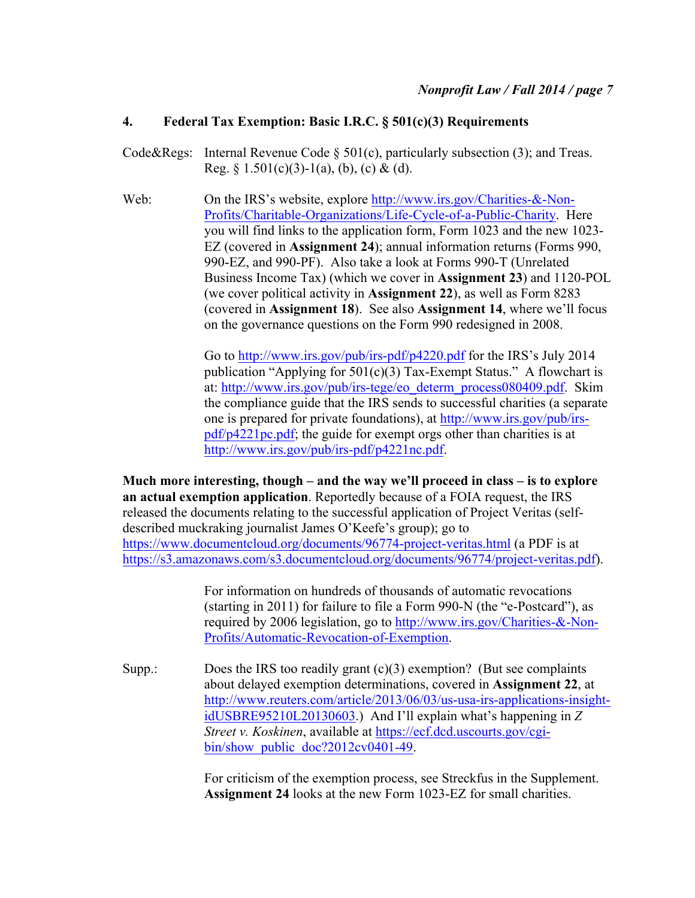# **4. Federal Tax Exemption: Basic I.R.C. § 501(c)(3) Requirements**

- Code&Regs: Internal Revenue Code  $\S$  501(c), particularly subsection (3); and Treas. Reg. §  $1.501(c)(3)-1(a)$ , (b), (c) & (d).
- Web: On the IRS's website, explore http://www.irs.gov/Charities-&-Non-Profits/Charitable-Organizations/Life-Cycle-of-a-Public-Charity. Here you will find links to the application form, Form 1023 and the new 1023- EZ (covered in **Assignment 24**); annual information returns (Forms 990, 990-EZ, and 990-PF). Also take a look at Forms 990-T (Unrelated Business Income Tax) (which we cover in **Assignment 23**) and 1120-POL (we cover political activity in **Assignment 22**), as well as Form 8283 (covered in **Assignment 18**). See also **Assignment 14**, where we'll focus on the governance questions on the Form 990 redesigned in 2008.

Go to http://www.irs.gov/pub/irs-pdf/p4220.pdf for the IRS's July 2014 publication "Applying for  $501(c)(3)$  Tax-Exempt Status." A flowchart is at: http://www.irs.gov/pub/irs-tege/eo\_determ\_process080409.pdf. Skim the compliance guide that the IRS sends to successful charities (a separate one is prepared for private foundations), at http://www.irs.gov/pub/irspdf/p4221pc.pdf; the guide for exempt orgs other than charities is at http://www.irs.gov/pub/irs-pdf/p4221nc.pdf.

**Much more interesting, though – and the way we'll proceed in class – is to explore an actual exemption application**. Reportedly because of a FOIA request, the IRS released the documents relating to the successful application of Project Veritas (selfdescribed muckraking journalist James O'Keefe's group); go to https://www.documentcloud.org/documents/96774-project-veritas.html (a PDF is at https://s3.amazonaws.com/s3.documentcloud.org/documents/96774/project-veritas.pdf).

> For information on hundreds of thousands of automatic revocations (starting in 2011) for failure to file a Form 990-N (the "e-Postcard"), as required by 2006 legislation, go to http://www.irs.gov/Charities-&-Non-Profits/Automatic-Revocation-of-Exemption.

Supp.: Does the IRS too readily grant (c)(3) exemption? (But see complaints about delayed exemption determinations, covered in **Assignment 22**, at http://www.reuters.com/article/2013/06/03/us-usa-irs-applications-insightidUSBRE95210L20130603.) And I'll explain what's happening in *Z Street v. Koskinen*, available at https://ecf.dcd.uscourts.gov/cgibin/show\_public\_doc?2012cv0401-49.

> For criticism of the exemption process, see Streckfus in the Supplement. **Assignment 24** looks at the new Form 1023-EZ for small charities.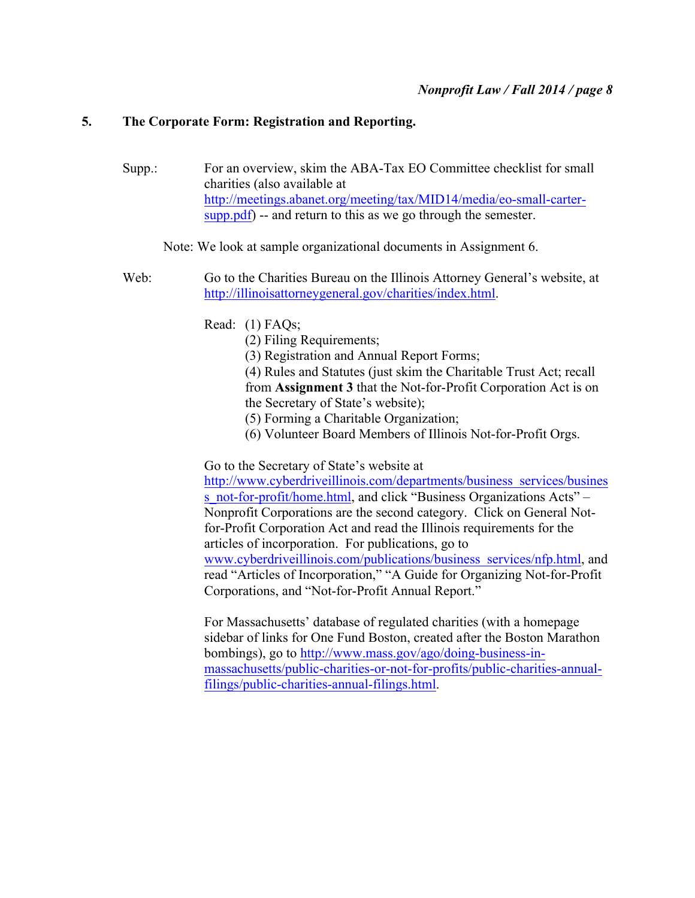### **5. The Corporate Form: Registration and Reporting.**

Supp.: For an overview, skim the ABA-Tax EO Committee checklist for small charities (also available at http://meetings.abanet.org/meeting/tax/MID14/media/eo-small-cartersupp.pdf) -- and return to this as we go through the semester.

### Note: We look at sample organizational documents in Assignment 6.

- Web: Go to the Charities Bureau on the Illinois Attorney General's website, at http://illinoisattorneygeneral.gov/charities/index.html.
	- Read: (1) FAQs;
		- (2) Filing Requirements;
		- (3) Registration and Annual Report Forms;

(4) Rules and Statutes (just skim the Charitable Trust Act; recall from **Assignment 3** that the Not-for-Profit Corporation Act is on the Secretary of State's website);

- (5) Forming a Charitable Organization;
- (6) Volunteer Board Members of Illinois Not-for-Profit Orgs.

Go to the Secretary of State's website at

http://www.cyberdriveillinois.com/departments/business\_services/busines s\_not-for-profit/home.html, and click "Business Organizations Acts" – Nonprofit Corporations are the second category. Click on General Notfor-Profit Corporation Act and read the Illinois requirements for the articles of incorporation. For publications, go to www.cyberdriveillinois.com/publications/business\_services/nfp.html, and read "Articles of Incorporation," "A Guide for Organizing Not-for-Profit Corporations, and "Not-for-Profit Annual Report."

For Massachusetts' database of regulated charities (with a homepage sidebar of links for One Fund Boston, created after the Boston Marathon bombings), go to http://www.mass.gov/ago/doing-business-inmassachusetts/public-charities-or-not-for-profits/public-charities-annualfilings/public-charities-annual-filings.html.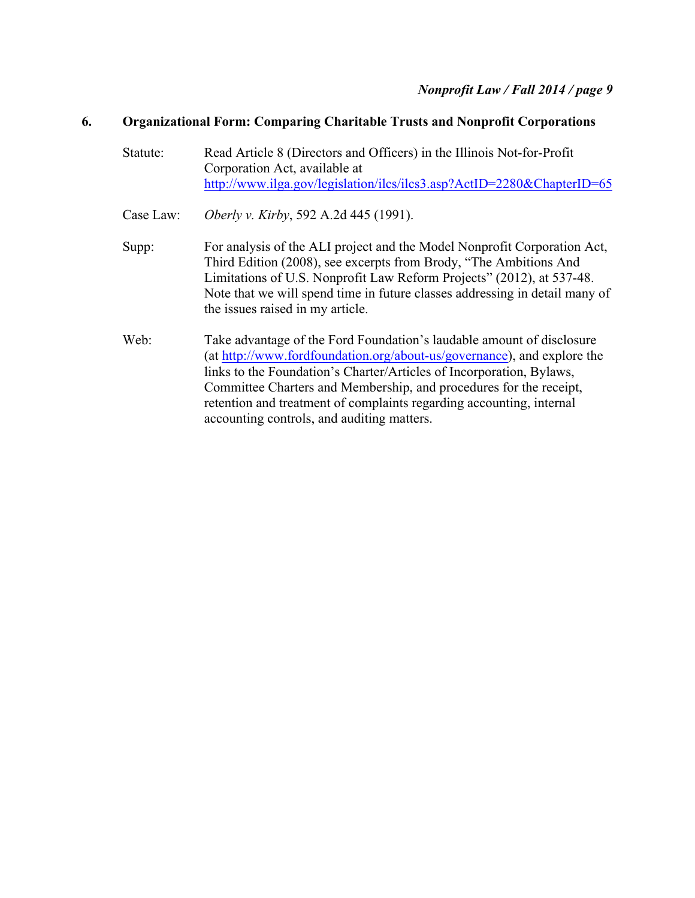# **6. Organizational Form: Comparing Charitable Trusts and Nonprofit Corporations**

- Statute: Read Article 8 (Directors and Officers) in the Illinois Not-for-Profit Corporation Act, available at http://www.ilga.gov/legislation/ilcs/ilcs3.asp?ActID=2280&ChapterID=65
- Case Law: *Oberly v. Kirby*, 592 A.2d 445 (1991).
- Supp: For analysis of the ALI project and the Model Nonprofit Corporation Act, Third Edition (2008), see excerpts from Brody, "The Ambitions And Limitations of U.S. Nonprofit Law Reform Projects" (2012), at 537-48. Note that we will spend time in future classes addressing in detail many of the issues raised in my article.
- Web: Take advantage of the Ford Foundation's laudable amount of disclosure (at http://www.fordfoundation.org/about-us/governance), and explore the links to the Foundation's Charter/Articles of Incorporation, Bylaws, Committee Charters and Membership, and procedures for the receipt, retention and treatment of complaints regarding accounting, internal accounting controls, and auditing matters.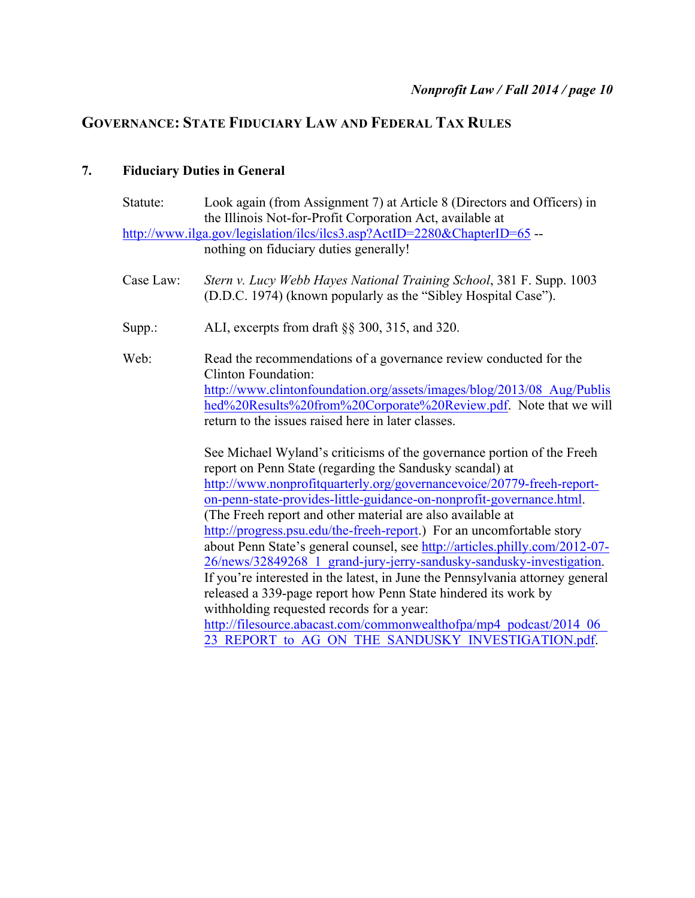# **GOVERNANCE: STATE FIDUCIARY LAW AND FEDERAL TAX RULES**

# **7. Fiduciary Duties in General**

| Statute:  | Look again (from Assignment 7) at Article 8 (Directors and Officers) in<br>the Illinois Not-for-Profit Corporation Act, available at   |
|-----------|----------------------------------------------------------------------------------------------------------------------------------------|
|           | http://www.ilga.gov/legislation/ilcs/ilcs3.asp?ActID=2280&ChapterID=65 --<br>nothing on fiduciary duties generally!                    |
| Case Law: | Stern v. Lucy Webb Hayes National Training School, 381 F. Supp. 1003<br>(D.D.C. 1974) (known popularly as the "Sibley Hospital Case"). |
| Supp.:    | ALI, excerpts from draft §§ 300, 315, and 320.                                                                                         |
| Web:      | Read the recommendations of a governance review conducted for the<br><b>Clinton Foundation:</b>                                        |
|           | http://www.clintonfoundation.org/assets/images/blog/2013/08 Aug/Publis                                                                 |
|           | hed%20Results%20from%20Corporate%20Review.pdf. Note that we will                                                                       |
|           | return to the issues raised here in later classes.                                                                                     |
|           | See Michael Wyland's criticisms of the governance portion of the Freeh                                                                 |
|           | report on Penn State (regarding the Sandusky scandal) at                                                                               |
|           | http://www.nonprofitquarterly.org/governancevoice/20779-freeh-report-                                                                  |
|           | on-penn-state-provides-little-guidance-on-nonprofit-governance.html.                                                                   |
|           | (The Freeh report and other material are also available at<br>http://progress.psu.edu/the-freeh-report.) For an uncomfortable story    |
|           | about Penn State's general counsel, see http://articles.philly.com/2012-07-                                                            |
|           | 26/news/32849268 1 grand-jury-jerry-sandusky-sandusky-investigation.                                                                   |
|           | If you're interested in the latest, in June the Pennsylvania attorney general                                                          |
|           | released a 339-page report how Penn State hindered its work by                                                                         |
|           | withholding requested records for a year:                                                                                              |
|           | http://filesource.abacast.com/commonwealthofpa/mp4_podcast/2014_06                                                                     |
|           | 23 REPORT to AG ON THE SANDUSKY INVESTIGATION.pdf.                                                                                     |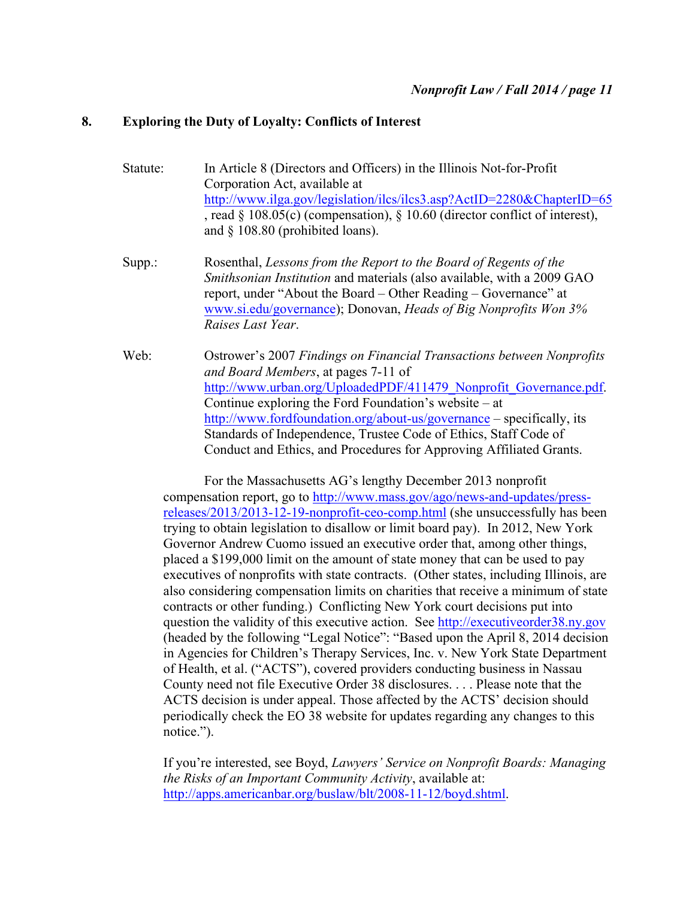### **8. Exploring the Duty of Loyalty: Conflicts of Interest**

- Statute: In Article 8 (Directors and Officers) in the Illinois Not-for-Profit Corporation Act, available at http://www.ilga.gov/legislation/ilcs/ilcs3.asp?ActID=2280&ChapterID=65 , read § 108.05(c) (compensation), § 10.60 (director conflict of interest), and § 108.80 (prohibited loans).
- Supp.: Rosenthal, *Lessons from the Report to the Board of Regents of the Smithsonian Institution* and materials (also available, with a 2009 GAO report, under "About the Board – Other Reading – Governance" at www.si.edu/governance); Donovan, *Heads of Big Nonprofits Won 3% Raises Last Year*.
- Web: Ostrower's 2007 *Findings on Financial Transactions between Nonprofits and Board Members*, at pages 7-11 of http://www.urban.org/UploadedPDF/411479\_Nonprofit\_Governance.pdf. Continue exploring the Ford Foundation's website – at http://www.fordfoundation.org/about-us/governance – specifically, its Standards of Independence, Trustee Code of Ethics, Staff Code of Conduct and Ethics, and Procedures for Approving Affiliated Grants.

For the Massachusetts AG's lengthy December 2013 nonprofit compensation report, go to http://www.mass.gov/ago/news-and-updates/pressreleases/2013/2013-12-19-nonprofit-ceo-comp.html (she unsuccessfully has been trying to obtain legislation to disallow or limit board pay). In 2012, New York Governor Andrew Cuomo issued an executive order that, among other things, placed a \$199,000 limit on the amount of state money that can be used to pay executives of nonprofits with state contracts. (Other states, including Illinois, are also considering compensation limits on charities that receive a minimum of state contracts or other funding.) Conflicting New York court decisions put into question the validity of this executive action. See http://executiveorder38.ny.gov (headed by the following "Legal Notice": "Based upon the April 8, 2014 decision in Agencies for Children's Therapy Services, Inc. v. New York State Department of Health, et al. ("ACTS"), covered providers conducting business in Nassau County need not file Executive Order 38 disclosures. . . . Please note that the ACTS decision is under appeal. Those affected by the ACTS' decision should periodically check the EO 38 website for updates regarding any changes to this notice.").

If you're interested, see Boyd, *Lawyers' Service on Nonprofit Boards: Managing the Risks of an Important Community Activity*, available at: http://apps.americanbar.org/buslaw/blt/2008-11-12/boyd.shtml.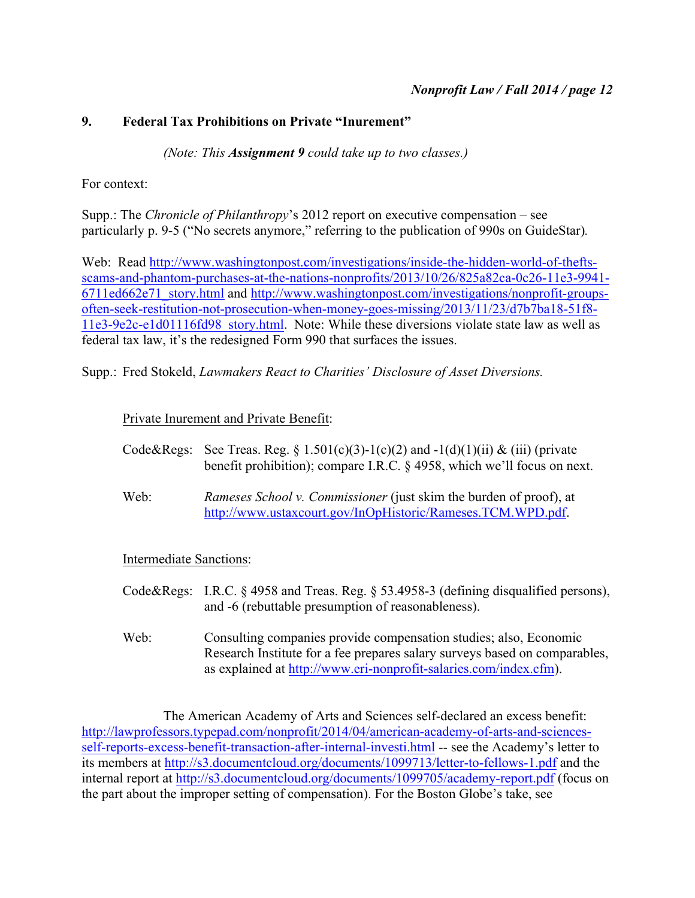# **9. Federal Tax Prohibitions on Private "Inurement"**

*(Note: This Assignment 9 could take up to two classes.)*

For context:

Supp.: The *Chronicle of Philanthropy*'s 2012 report on executive compensation – see particularly p. 9-5 ("No secrets anymore," referring to the publication of 990s on GuideStar)*.*

Web: Read http://www.washingtonpost.com/investigations/inside-the-hidden-world-of-theftsscams-and-phantom-purchases-at-the-nations-nonprofits/2013/10/26/825a82ca-0c26-11e3-9941- 6711ed662e71\_story.html and http://www.washingtonpost.com/investigations/nonprofit-groupsoften-seek-restitution-not-prosecution-when-money-goes-missing/2013/11/23/d7b7ba18-51f8- 11e3-9e2c-e1d01116fd98\_story.html. Note: While these diversions violate state law as well as federal tax law, it's the redesigned Form 990 that surfaces the issues.

Supp.: Fred Stokeld, *Lawmakers React to Charities' Disclosure of Asset Diversions.*

# Private Inurement and Private Benefit:

- Code&Regs: See Treas. Reg. § 1.501(c)(3)-1(c)(2) and  $-1(d)(1)(ii)$  & (iii) (private benefit prohibition); compare I.R.C. § 4958, which we'll focus on next.
- Web: *Rameses School v. Commissioner* (just skim the burden of proof), at http://www.ustaxcourt.gov/InOpHistoric/Rameses.TCM.WPD.pdf.

Intermediate Sanctions:

- Code&Regs: I.R.C. § 4958 and Treas. Reg. § 53.4958-3 (defining disqualified persons), and -6 (rebuttable presumption of reasonableness).
- Web: Consulting companies provide compensation studies; also, Economic Research Institute for a fee prepares salary surveys based on comparables, as explained at http://www.eri-nonprofit-salaries.com/index.cfm).

The American Academy of Arts and Sciences self-declared an excess benefit: http://lawprofessors.typepad.com/nonprofit/2014/04/american-academy-of-arts-and-sciencesself-reports-excess-benefit-transaction-after-internal-investi.html -- see the Academy's letter to its members at http://s3.documentcloud.org/documents/1099713/letter-to-fellows-1.pdf and the internal report at http://s3.documentcloud.org/documents/1099705/academy-report.pdf (focus on the part about the improper setting of compensation). For the Boston Globe's take, see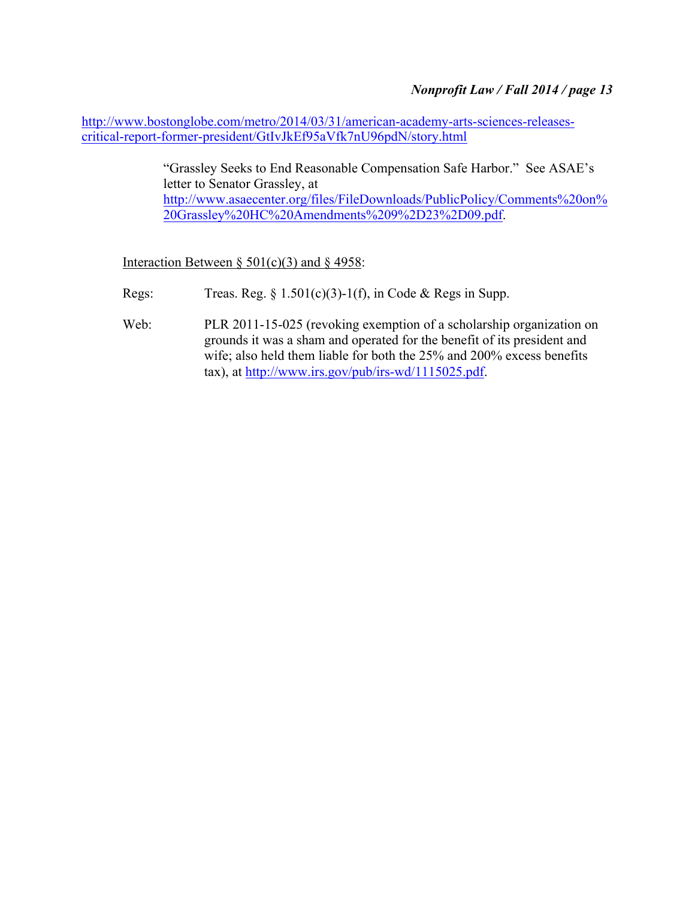http://www.bostonglobe.com/metro/2014/03/31/american-academy-arts-sciences-releasescritical-report-former-president/GtIvJkEf95aVfk7nU96pdN/story.html

> "Grassley Seeks to End Reasonable Compensation Safe Harbor." See ASAE's letter to Senator Grassley, at http://www.asaecenter.org/files/FileDownloads/PublicPolicy/Comments%20on% 20Grassley%20HC%20Amendments%209%2D23%2D09.pdf.

Interaction Between §  $501(c)(3)$  and § 4958:

- Regs: Treas. Reg.  $\S 1.501(c)(3)-1(f)$ , in Code & Regs in Supp.
- Web: PLR 2011-15-025 (revoking exemption of a scholarship organization on grounds it was a sham and operated for the benefit of its president and wife; also held them liable for both the 25% and 200% excess benefits tax), at http://www.irs.gov/pub/irs-wd/1115025.pdf.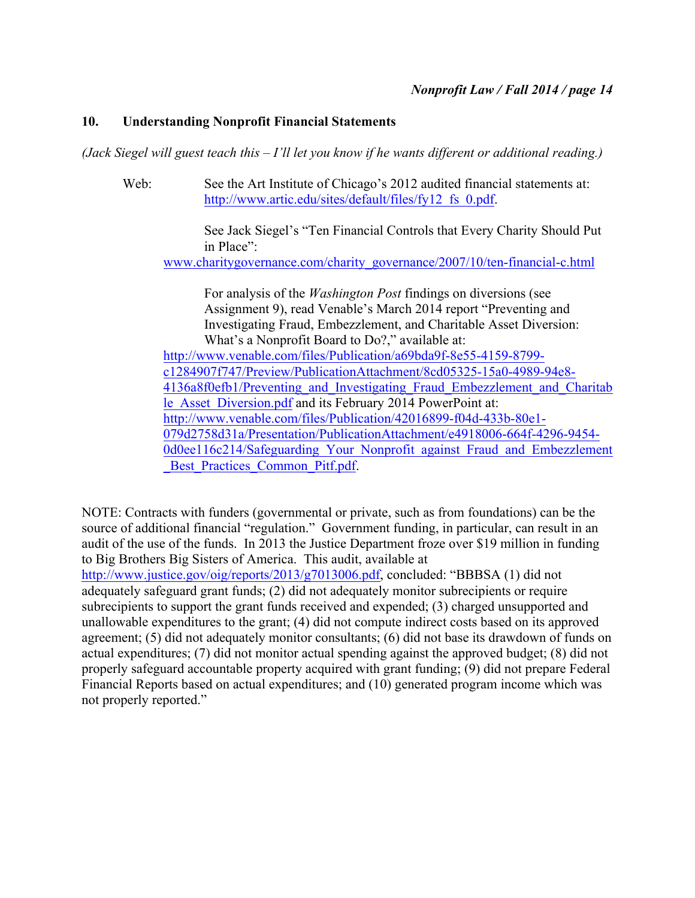### **10. Understanding Nonprofit Financial Statements**

*(Jack Siegel will guest teach this – I'll let you know if he wants different or additional reading.)*

Web: See the Art Institute of Chicago's 2012 audited financial statements at: http://www.artic.edu/sites/default/files/fy12\_fs\_0.pdf.

> See Jack Siegel's "Ten Financial Controls that Every Charity Should Put in Place":

www.charitygovernance.com/charity\_governance/2007/10/ten-financial-c.html

For analysis of the *Washington Post* findings on diversions (see Assignment 9), read Venable's March 2014 report "Preventing and Investigating Fraud, Embezzlement, and Charitable Asset Diversion: What's a Nonprofit Board to Do?," available at: http://www.venable.com/files/Publication/a69bda9f-8e55-4159-8799 c1284907f747/Preview/PublicationAttachment/8cd05325-15a0-4989-94e8- 4136a8f0efb1/Preventing\_and\_Investigating\_Fraud\_Embezzlement\_and\_Charitab

le Asset Diversion.pdf and its February 2014 PowerPoint at: http://www.venable.com/files/Publication/42016899-f04d-433b-80e1- 079d2758d31a/Presentation/PublicationAttachment/e4918006-664f-4296-9454-

0d0ee116c214/Safeguarding Your\_Nonprofit\_against\_Fraud\_and\_Embezzlement Best Practices Common Pitf.pdf.

NOTE: Contracts with funders (governmental or private, such as from foundations) can be the source of additional financial "regulation." Government funding, in particular, can result in an audit of the use of the funds. In 2013 the Justice Department froze over \$19 million in funding to Big Brothers Big Sisters of America. This audit, available at

http://www.justice.gov/oig/reports/2013/g7013006.pdf, concluded: "BBBSA (1) did not adequately safeguard grant funds; (2) did not adequately monitor subrecipients or require subrecipients to support the grant funds received and expended; (3) charged unsupported and unallowable expenditures to the grant; (4) did not compute indirect costs based on its approved agreement; (5) did not adequately monitor consultants; (6) did not base its drawdown of funds on actual expenditures; (7) did not monitor actual spending against the approved budget; (8) did not properly safeguard accountable property acquired with grant funding; (9) did not prepare Federal Financial Reports based on actual expenditures; and (10) generated program income which was not properly reported."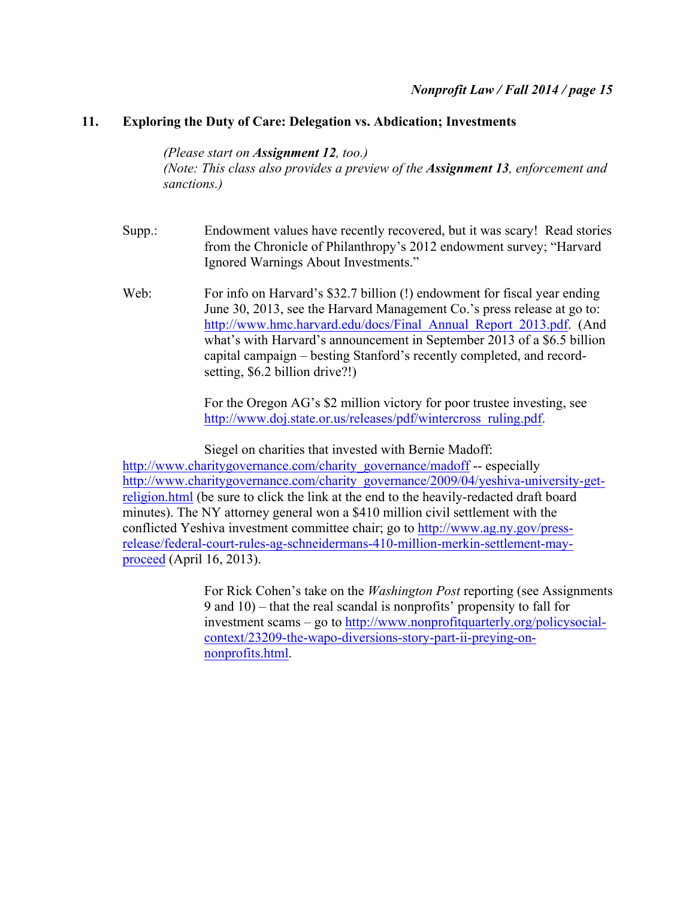### **11. Exploring the Duty of Care: Delegation vs. Abdication; Investments**

*(Please start on Assignment 12, too.) (Note: This class also provides a preview of the Assignment 13, enforcement and sanctions.)*

- Supp.: Endowment values have recently recovered, but it was scary! Read stories from the Chronicle of Philanthropy's 2012 endowment survey; "Harvard Ignored Warnings About Investments."
- Web: For info on Harvard's \$32.7 billion (!) endowment for fiscal year ending June 30, 2013, see the Harvard Management Co.'s press release at go to: http://www.hmc.harvard.edu/docs/Final\_Annual\_Report\_2013.pdf. (And what's with Harvard's announcement in September 2013 of a \$6.5 billion capital campaign – besting Stanford's recently completed, and recordsetting, \$6.2 billion drive?!)

For the Oregon AG's \$2 million victory for poor trustee investing, see http://www.doj.state.or.us/releases/pdf/wintercross\_ruling.pdf.

Siegel on charities that invested with Bernie Madoff: http://www.charitygovernance.com/charity\_governance/madoff -- especially http://www.charitygovernance.com/charity\_governance/2009/04/yeshiva-university-getreligion.html (be sure to click the link at the end to the heavily-redacted draft board minutes). The NY attorney general won a \$410 million civil settlement with the conflicted Yeshiva investment committee chair; go to http://www.ag.ny.gov/pressrelease/federal-court-rules-ag-schneidermans-410-million-merkin-settlement-mayproceed (April 16, 2013).

> For Rick Cohen's take on the *Washington Post* reporting (see Assignments 9 and 10) – that the real scandal is nonprofits' propensity to fall for investment scams – go to http://www.nonprofitquarterly.org/policysocialcontext/23209-the-wapo-diversions-story-part-ii-preying-onnonprofits.html.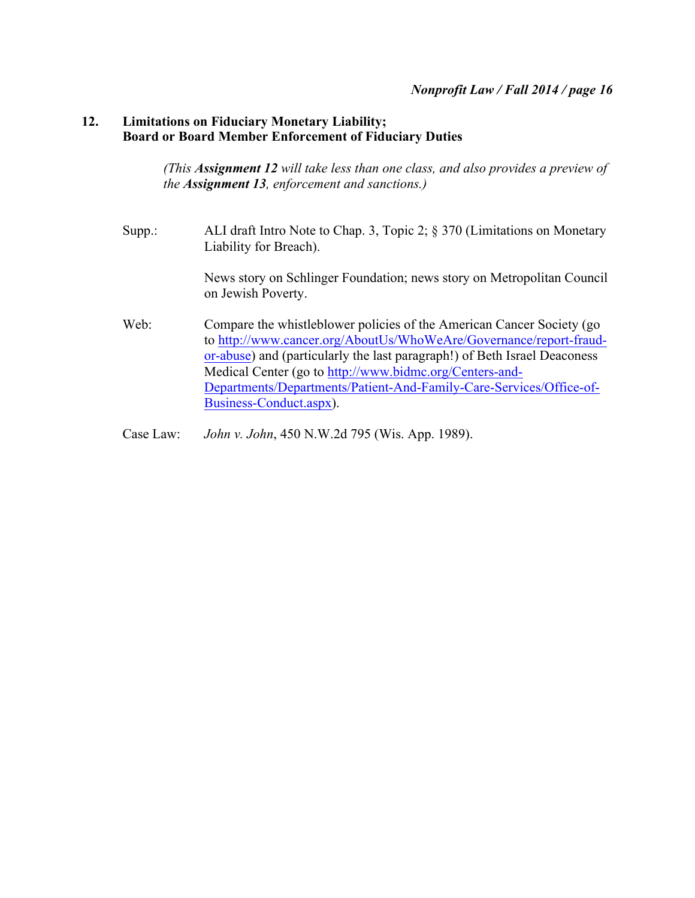# **12. Limitations on Fiduciary Monetary Liability; Board or Board Member Enforcement of Fiduciary Duties**

*(This Assignment 12 will take less than one class, and also provides a preview of the Assignment 13, enforcement and sanctions.)*

Supp.: ALI draft Intro Note to Chap. 3, Topic 2; § 370 (Limitations on Monetary Liability for Breach).

> News story on Schlinger Foundation; news story on Metropolitan Council on Jewish Poverty.

- Web: Compare the whistleblower policies of the American Cancer Society (go to http://www.cancer.org/AboutUs/WhoWeAre/Governance/report-fraudor-abuse) and (particularly the last paragraph!) of Beth Israel Deaconess Medical Center (go to http://www.bidmc.org/Centers-and-Departments/Departments/Patient-And-Family-Care-Services/Office-of-Business-Conduct.aspx).
- Case Law: *John v. John*, 450 N.W.2d 795 (Wis. App. 1989).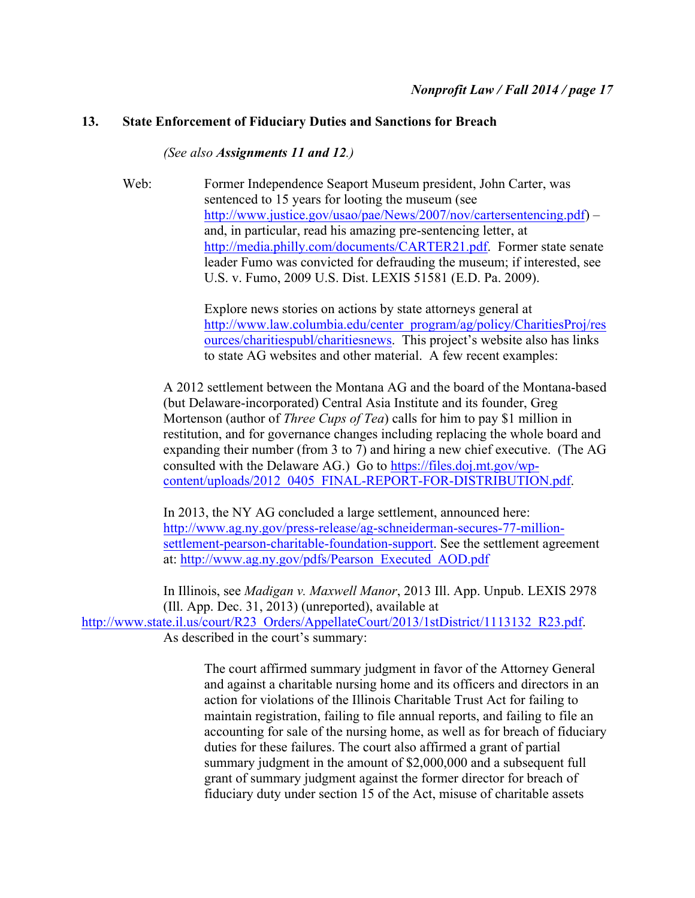# **13. State Enforcement of Fiduciary Duties and Sanctions for Breach**

*(See also Assignments 11 and 12.)*

Web: Former Independence Seaport Museum president, John Carter, was sentenced to 15 years for looting the museum (see http://www.justice.gov/usao/pae/News/2007/nov/cartersentencing.pdf) – and, in particular, read his amazing pre-sentencing letter, at http://media.philly.com/documents/CARTER21.pdf. Former state senate leader Fumo was convicted for defrauding the museum; if interested, see U.S. v. Fumo, 2009 U.S. Dist. LEXIS 51581 (E.D. Pa. 2009).

> Explore news stories on actions by state attorneys general at http://www.law.columbia.edu/center\_program/ag/policy/CharitiesProj/res ources/charitiespubl/charitiesnews. This project's website also has links to state AG websites and other material. A few recent examples:

A 2012 settlement between the Montana AG and the board of the Montana-based (but Delaware-incorporated) Central Asia Institute and its founder, Greg Mortenson (author of *Three Cups of Tea*) calls for him to pay \$1 million in restitution, and for governance changes including replacing the whole board and expanding their number (from 3 to 7) and hiring a new chief executive. (The AG consulted with the Delaware AG.) Go to https://files.doj.mt.gov/wpcontent/uploads/2012\_0405\_FINAL-REPORT-FOR-DISTRIBUTION.pdf.

In 2013, the NY AG concluded a large settlement, announced here: http://www.ag.ny.gov/press-release/ag-schneiderman-secures-77-millionsettlement-pearson-charitable-foundation-support. See the settlement agreement at: http://www.ag.ny.gov/pdfs/Pearson\_Executed\_AOD.pdf

In Illinois, see *Madigan v. Maxwell Manor*, 2013 Ill. App. Unpub. LEXIS 2978 (Ill. App. Dec. 31, 2013) (unreported), available at http://www.state.il.us/court/R23\_Orders/AppellateCourt/2013/1stDistrict/1113132\_R23.pdf. As described in the court's summary:

> The court affirmed summary judgment in favor of the Attorney General and against a charitable nursing home and its officers and directors in an action for violations of the Illinois Charitable Trust Act for failing to maintain registration, failing to file annual reports, and failing to file an accounting for sale of the nursing home, as well as for breach of fiduciary duties for these failures. The court also affirmed a grant of partial summary judgment in the amount of \$2,000,000 and a subsequent full grant of summary judgment against the former director for breach of fiduciary duty under section 15 of the Act, misuse of charitable assets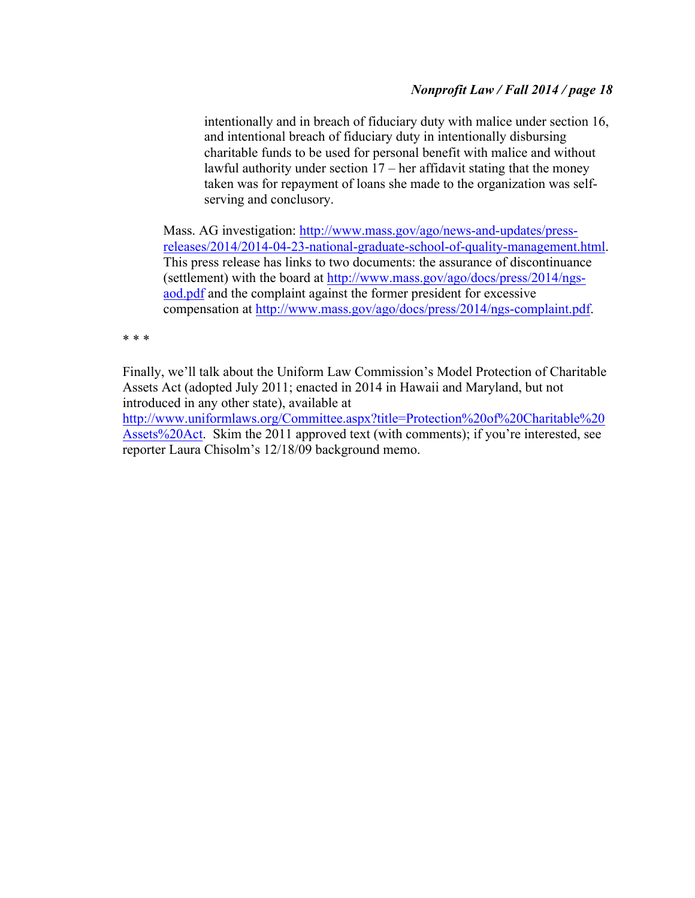intentionally and in breach of fiduciary duty with malice under section 16, and intentional breach of fiduciary duty in intentionally disbursing charitable funds to be used for personal benefit with malice and without lawful authority under section 17 – her affidavit stating that the money taken was for repayment of loans she made to the organization was selfserving and conclusory.

Mass. AG investigation: http://www.mass.gov/ago/news-and-updates/pressreleases/2014/2014-04-23-national-graduate-school-of-quality-management.html. This press release has links to two documents: the assurance of discontinuance (settlement) with the board at http://www.mass.gov/ago/docs/press/2014/ngsaod.pdf and the complaint against the former president for excessive compensation at http://www.mass.gov/ago/docs/press/2014/ngs-complaint.pdf.

\* \* \*

Finally, we'll talk about the Uniform Law Commission's Model Protection of Charitable Assets Act (adopted July 2011; enacted in 2014 in Hawaii and Maryland, but not introduced in any other state), available at

http://www.uniformlaws.org/Committee.aspx?title=Protection%20of%20Charitable%20 Assets%20Act. Skim the 2011 approved text (with comments); if you're interested, see reporter Laura Chisolm's 12/18/09 background memo.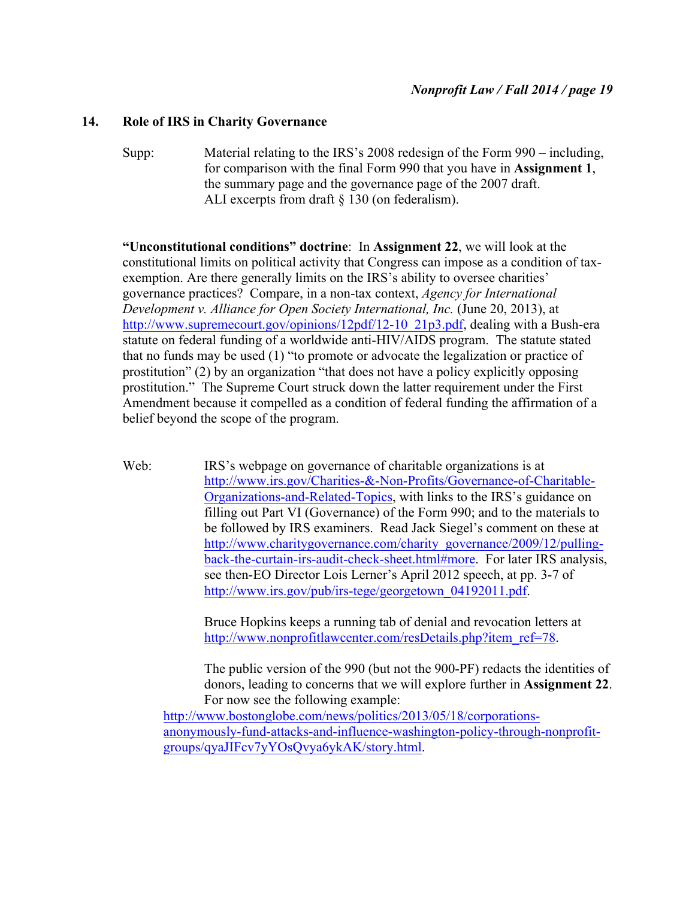### **14. Role of IRS in Charity Governance**

Supp: Material relating to the IRS's 2008 redesign of the Form 990 – including, for comparison with the final Form 990 that you have in **Assignment 1**, the summary page and the governance page of the 2007 draft. ALI excerpts from draft § 130 (on federalism).

**"Unconstitutional conditions" doctrine**: In **Assignment 22**, we will look at the constitutional limits on political activity that Congress can impose as a condition of taxexemption. Are there generally limits on the IRS's ability to oversee charities' governance practices? Compare, in a non-tax context, *Agency for International Development v. Alliance for Open Society International, Inc.* (June 20, 2013), at http://www.supremecourt.gov/opinions/12pdf/12-10\_21p3.pdf, dealing with a Bush-era statute on federal funding of a worldwide anti-HIV/AIDS program. The statute stated that no funds may be used (1) "to promote or advocate the legalization or practice of prostitution" (2) by an organization "that does not have a policy explicitly opposing prostitution." The Supreme Court struck down the latter requirement under the First Amendment because it compelled as a condition of federal funding the affirmation of a belief beyond the scope of the program.

Web: IRS's webpage on governance of charitable organizations is at http://www.irs.gov/Charities-&-Non-Profits/Governance-of-Charitable-Organizations-and-Related-Topics, with links to the IRS's guidance on filling out Part VI (Governance) of the Form 990; and to the materials to be followed by IRS examiners. Read Jack Siegel's comment on these at http://www.charitygovernance.com/charity\_governance/2009/12/pullingback-the-curtain-irs-audit-check-sheet.html#more. For later IRS analysis, see then-EO Director Lois Lerner's April 2012 speech, at pp. 3-7 of http://www.irs.gov/pub/irs-tege/georgetown\_04192011.pdf.

> Bruce Hopkins keeps a running tab of denial and revocation letters at http://www.nonprofitlawcenter.com/resDetails.php?item\_ref=78.

The public version of the 990 (but not the 900-PF) redacts the identities of donors, leading to concerns that we will explore further in **Assignment 22**. For now see the following example:

http://www.bostonglobe.com/news/politics/2013/05/18/corporationsanonymously-fund-attacks-and-influence-washington-policy-through-nonprofitgroups/qyaJIFcv7yYOsQvya6ykAK/story.html.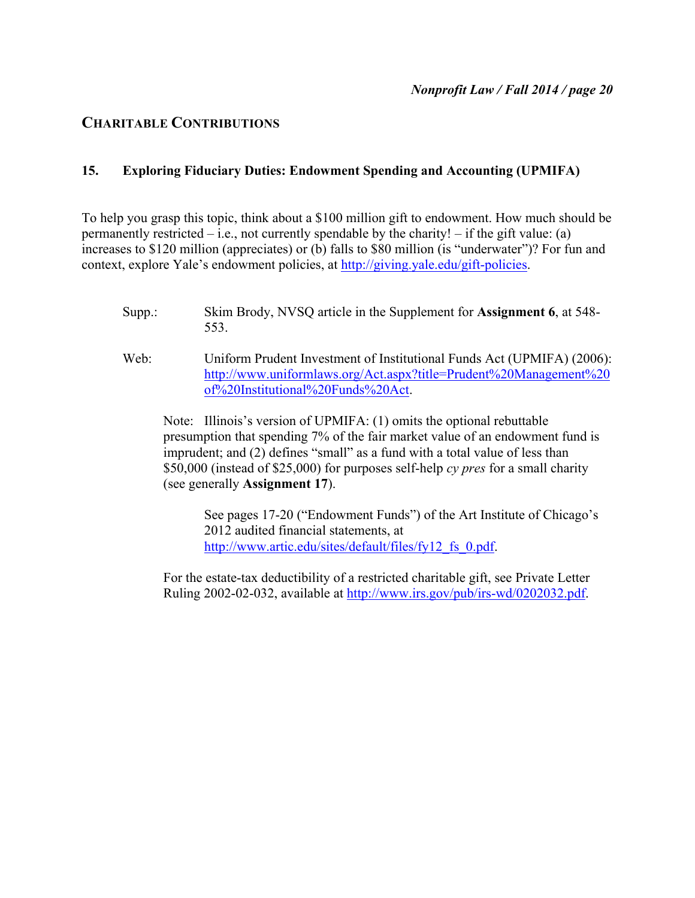# **CHARITABLE CONTRIBUTIONS**

# **15. Exploring Fiduciary Duties: Endowment Spending and Accounting (UPMIFA)**

To help you grasp this topic, think about a \$100 million gift to endowment. How much should be permanently restricted – i.e., not currently spendable by the charity! – if the gift value: (a) increases to \$120 million (appreciates) or (b) falls to \$80 million (is "underwater")? For fun and context, explore Yale's endowment policies, at http://giving.yale.edu/gift-policies.

- Supp.: Skim Brody, NVSQ article in the Supplement for **Assignment 6**, at 548- 553.
- Web: Uniform Prudent Investment of Institutional Funds Act (UPMIFA) (2006): http://www.uniformlaws.org/Act.aspx?title=Prudent%20Management%20 of%20Institutional%20Funds%20Act.

Note: Illinois's version of UPMIFA: (1) omits the optional rebuttable presumption that spending 7% of the fair market value of an endowment fund is imprudent; and (2) defines "small" as a fund with a total value of less than \$50,000 (instead of \$25,000) for purposes self-help *cy pres* for a small charity (see generally **Assignment 17**).

See pages 17-20 ("Endowment Funds") of the Art Institute of Chicago's 2012 audited financial statements, at http://www.artic.edu/sites/default/files/fy12\_fs\_0.pdf.

For the estate-tax deductibility of a restricted charitable gift, see Private Letter Ruling 2002-02-032, available at http://www.irs.gov/pub/irs-wd/0202032.pdf.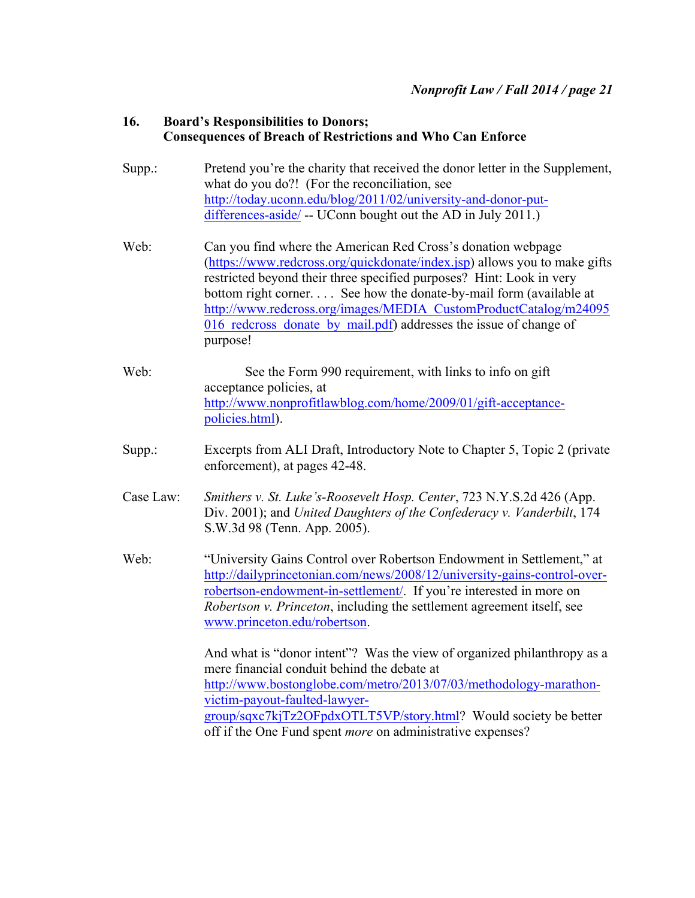# **16. Board's Responsibilities to Donors; Consequences of Breach of Restrictions and Who Can Enforce**

- Supp.: Pretend you're the charity that received the donor letter in the Supplement, what do you do?! (For the reconciliation, see http://today.uconn.edu/blog/2011/02/university-and-donor-putdifferences-aside/ -- UConn bought out the AD in July 2011.)
- Web: Can you find where the American Red Cross's donation webpage (https://www.redcross.org/quickdonate/index.jsp) allows you to make gifts restricted beyond their three specified purposes? Hint: Look in very bottom right corner. . . . See how the donate-by-mail form (available at http://www.redcross.org/images/MEDIA\_CustomProductCatalog/m24095 016 redcross donate by mail.pdf) addresses the issue of change of purpose!
- Web: See the Form 990 requirement, with links to info on gift acceptance policies, at http://www.nonprofitlawblog.com/home/2009/01/gift-acceptancepolicies.html).
- Supp.: Excerpts from ALI Draft, Introductory Note to Chapter 5, Topic 2 (private enforcement), at pages 42-48.
- Case Law: *Smithers v. St. Luke's-Roosevelt Hosp. Center*, 723 N.Y.S.2d 426 (App. Div. 2001); and *United Daughters of the Confederacy v. Vanderbilt*, 174 S.W.3d 98 (Tenn. App. 2005).
- Web: "University Gains Control over Robertson Endowment in Settlement," at http://dailyprincetonian.com/news/2008/12/university-gains-control-overrobertson-endowment-in-settlement/. If you're interested in more on *Robertson v. Princeton*, including the settlement agreement itself, see www.princeton.edu/robertson.

And what is "donor intent"? Was the view of organized philanthropy as a mere financial conduit behind the debate at http://www.bostonglobe.com/metro/2013/07/03/methodology-marathonvictim-payout-faulted-lawyergroup/sqxc7kjTz2OFpdxOTLT5VP/story.html? Would society be better off if the One Fund spent *more* on administrative expenses?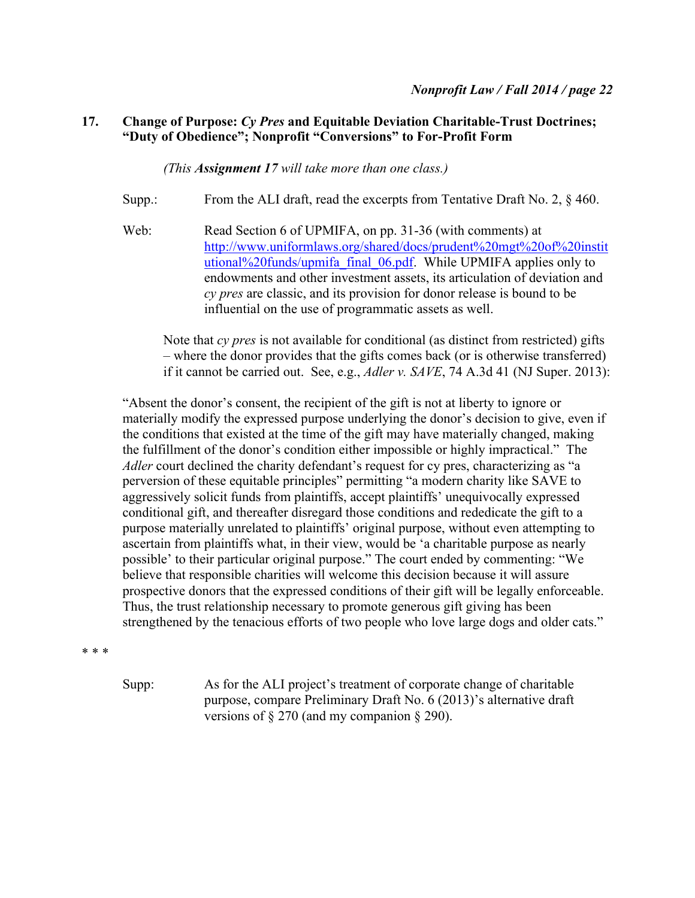## **17. Change of Purpose:** *Cy Pres* **and Equitable Deviation Charitable-Trust Doctrines; "Duty of Obedience"; Nonprofit "Conversions" to For-Profit Form**

*(This Assignment 17 will take more than one class.)*

- Supp.: From the ALI draft, read the excerpts from Tentative Draft No. 2, § 460.
- Web: Read Section 6 of UPMIFA, on pp. 31-36 (with comments) at http://www.uniformlaws.org/shared/docs/prudent%20mgt%20of%20instit utional%20funds/upmifa\_final\_06.pdf. While UPMIFA applies only to endowments and other investment assets, its articulation of deviation and *cy pres* are classic, and its provision for donor release is bound to be influential on the use of programmatic assets as well.

Note that *cy pres* is not available for conditional (as distinct from restricted) gifts – where the donor provides that the gifts comes back (or is otherwise transferred) if it cannot be carried out. See, e.g., *Adler v. SAVE*, 74 A.3d 41 (NJ Super. 2013):

"Absent the donor's consent, the recipient of the gift is not at liberty to ignore or materially modify the expressed purpose underlying the donor's decision to give, even if the conditions that existed at the time of the gift may have materially changed, making the fulfillment of the donor's condition either impossible or highly impractical." The *Adler* court declined the charity defendant's request for cy pres, characterizing as "a perversion of these equitable principles" permitting "a modern charity like SAVE to aggressively solicit funds from plaintiffs, accept plaintiffs' unequivocally expressed conditional gift, and thereafter disregard those conditions and rededicate the gift to a purpose materially unrelated to plaintiffs' original purpose, without even attempting to ascertain from plaintiffs what, in their view, would be 'a charitable purpose as nearly possible' to their particular original purpose." The court ended by commenting: "We believe that responsible charities will welcome this decision because it will assure prospective donors that the expressed conditions of their gift will be legally enforceable. Thus, the trust relationship necessary to promote generous gift giving has been strengthened by the tenacious efforts of two people who love large dogs and older cats."

\* \* \*

Supp: As for the ALI project's treatment of corporate change of charitable purpose, compare Preliminary Draft No. 6 (2013)'s alternative draft versions of § 270 (and my companion § 290).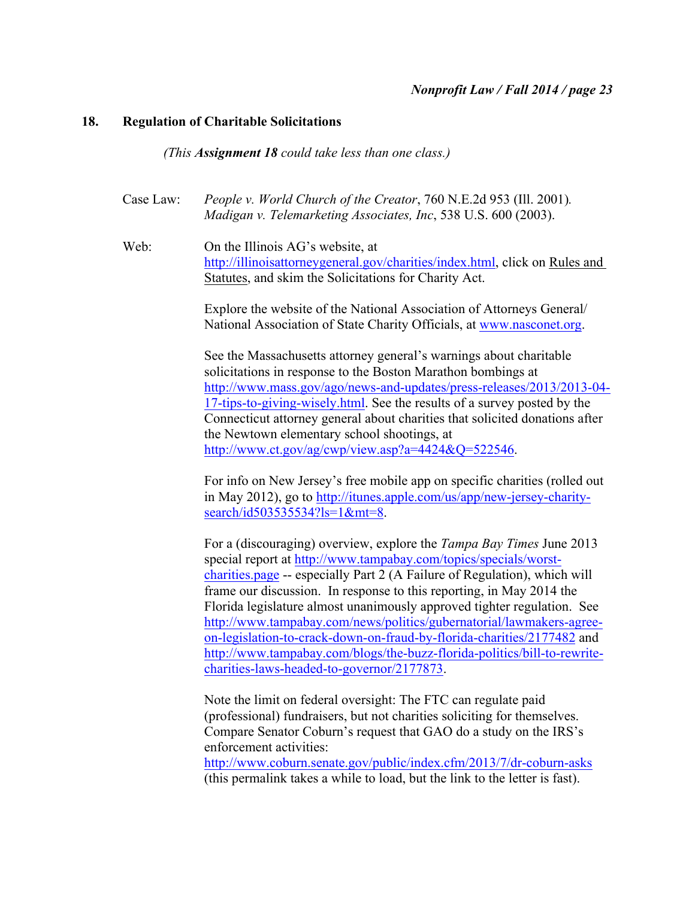### **18. Regulation of Charitable Solicitations**

*(This Assignment 18 could take less than one class.)*

Case Law: *People v. World Church of the Creator*, 760 N.E.2d 953 (Ill. 2001)*. Madigan v. Telemarketing Associates, Inc*, 538 U.S. 600 (2003).

Web: On the Illinois AG's website, at http://illinoisattorneygeneral.gov/charities/index.html, click on Rules and Statutes, and skim the Solicitations for Charity Act.

> Explore the website of the National Association of Attorneys General/ National Association of State Charity Officials, at www.nasconet.org.

See the Massachusetts attorney general's warnings about charitable solicitations in response to the Boston Marathon bombings at http://www.mass.gov/ago/news-and-updates/press-releases/2013/2013-04- 17-tips-to-giving-wisely.html. See the results of a survey posted by the Connecticut attorney general about charities that solicited donations after the Newtown elementary school shootings, at http://www.ct.gov/ag/cwp/view.asp?a=4424&Q=522546.

For info on New Jersey's free mobile app on specific charities (rolled out in May 2012), go to http://itunes.apple.com/us/app/new-jersey-charitysearch/id503535534?ls=1&mt=8.

For a (discouraging) overview, explore the *Tampa Bay Times* June 2013 special report at http://www.tampabay.com/topics/specials/worstcharities.page -- especially Part 2 (A Failure of Regulation), which will frame our discussion. In response to this reporting, in May 2014 the Florida legislature almost unanimously approved tighter regulation. See http://www.tampabay.com/news/politics/gubernatorial/lawmakers-agreeon-legislation-to-crack-down-on-fraud-by-florida-charities/2177482 and http://www.tampabay.com/blogs/the-buzz-florida-politics/bill-to-rewritecharities-laws-headed-to-governor/2177873.

Note the limit on federal oversight: The FTC can regulate paid (professional) fundraisers, but not charities soliciting for themselves. Compare Senator Coburn's request that GAO do a study on the IRS's enforcement activities:

http://www.coburn.senate.gov/public/index.cfm/2013/7/dr-coburn-asks (this permalink takes a while to load, but the link to the letter is fast).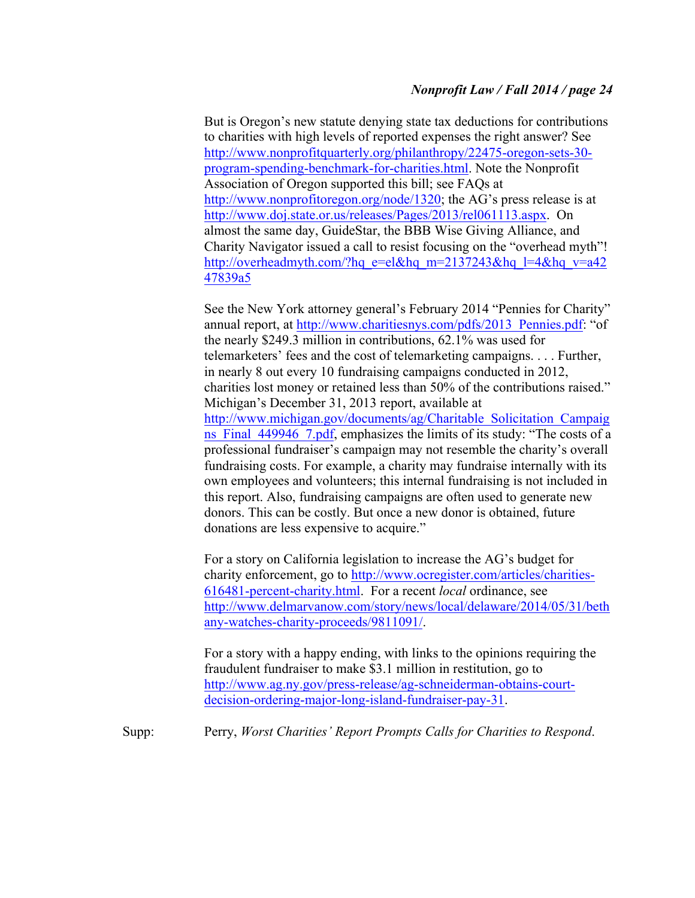But is Oregon's new statute denying state tax deductions for contributions to charities with high levels of reported expenses the right answer? See http://www.nonprofitquarterly.org/philanthropy/22475-oregon-sets-30 program-spending-benchmark-for-charities.html. Note the Nonprofit Association of Oregon supported this bill; see FAQs at http://www.nonprofitoregon.org/node/1320; the AG's press release is at http://www.doj.state.or.us/releases/Pages/2013/rel061113.aspx. On almost the same day, GuideStar, the BBB Wise Giving Alliance, and Charity Navigator issued a call to resist focusing on the "overhead myth"! http://overheadmyth.com/?hq\_e=el&hq\_m=2137243&hq\_l=4&hq\_v=a42 47839a5

See the New York attorney general's February 2014 "Pennies for Charity" annual report, at http://www.charitiesnys.com/pdfs/2013\_Pennies.pdf: "of the nearly \$249.3 million in contributions, 62.1% was used for telemarketers' fees and the cost of telemarketing campaigns. . . . Further, in nearly 8 out every 10 fundraising campaigns conducted in 2012, charities lost money or retained less than 50% of the contributions raised." Michigan's December 31, 2013 report, available at http://www.michigan.gov/documents/ag/Charitable\_Solicitation\_Campaig ns Final 449946 7.pdf, emphasizes the limits of its study: "The costs of a professional fundraiser's campaign may not resemble the charity's overall fundraising costs. For example, a charity may fundraise internally with its own employees and volunteers; this internal fundraising is not included in this report. Also, fundraising campaigns are often used to generate new donors. This can be costly. But once a new donor is obtained, future donations are less expensive to acquire."

For a story on California legislation to increase the AG's budget for charity enforcement, go to http://www.ocregister.com/articles/charities-616481-percent-charity.html. For a recent *local* ordinance, see http://www.delmarvanow.com/story/news/local/delaware/2014/05/31/beth any-watches-charity-proceeds/9811091/.

For a story with a happy ending, with links to the opinions requiring the fraudulent fundraiser to make \$3.1 million in restitution, go to http://www.ag.ny.gov/press-release/ag-schneiderman-obtains-courtdecision-ordering-major-long-island-fundraiser-pay-31.

Supp: Perry, *Worst Charities' Report Prompts Calls for Charities to Respond*.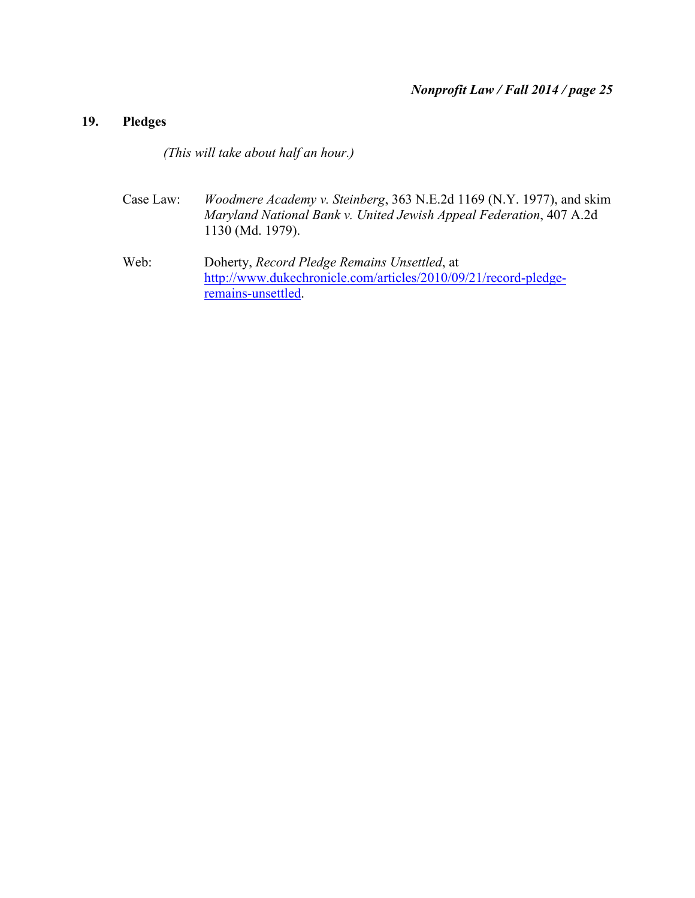# **19. Pledges**

*(This will take about half an hour.)*

- Case Law: *Woodmere Academy v. Steinberg*, 363 N.E.2d 1169 (N.Y. 1977), and skim *Maryland National Bank v. United Jewish Appeal Federation*, 407 A.2d 1130 (Md. 1979).
- Web: Doherty, *Record Pledge Remains Unsettled*, at http://www.dukechronicle.com/articles/2010/09/21/record-pledgeremains-unsettled.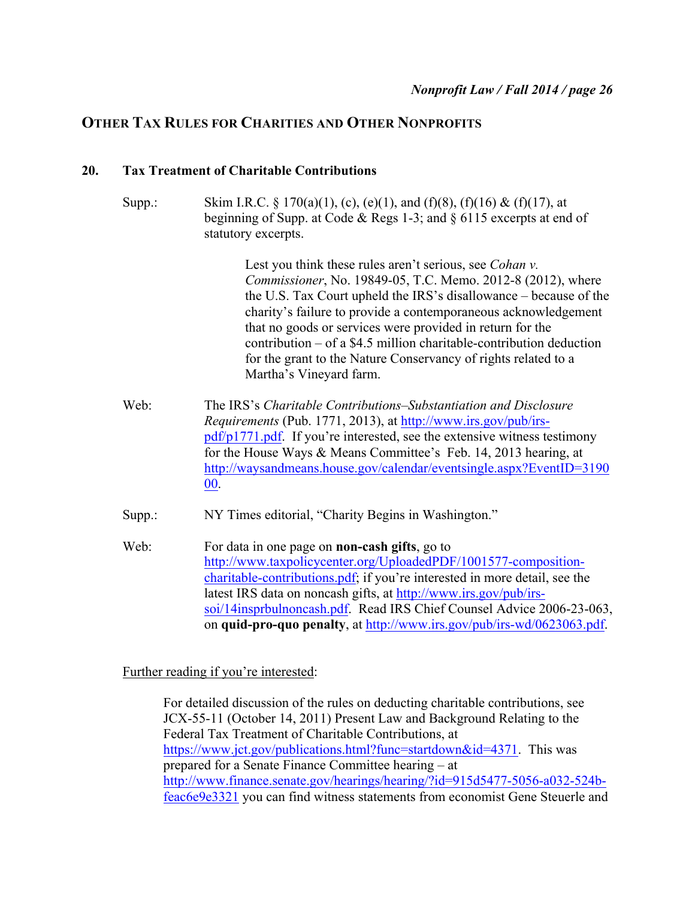# **OTHER TAX RULES FOR CHARITIES AND OTHER NONPROFITS**

### **20. Tax Treatment of Charitable Contributions**

Supp.: Skim I.R.C.  $\frac{1}{2}$  170(a)(1), (c), (e)(1), and (f)(8), (f)(16) & (f)(17), at beginning of Supp. at Code & Regs 1-3; and § 6115 excerpts at end of statutory excerpts.

> Lest you think these rules aren't serious, see *Cohan v. Commissioner*, No. 19849-05, T.C. Memo. 2012-8 (2012), where the U.S. Tax Court upheld the IRS's disallowance – because of the charity's failure to provide a contemporaneous acknowledgement that no goods or services were provided in return for the contribution – of a \$4.5 million charitable-contribution deduction for the grant to the Nature Conservancy of rights related to a Martha's Vineyard farm.

- Web: The IRS's *Charitable Contributions–Substantiation and Disclosure Requirements* (Pub. 1771, 2013), at http://www.irs.gov/pub/irspdf/p1771.pdf. If you're interested, see the extensive witness testimony for the House Ways & Means Committee's Feb. 14, 2013 hearing, at http://waysandmeans.house.gov/calendar/eventsingle.aspx?EventID=3190 00.
- Supp.: NY Times editorial, "Charity Begins in Washington."
- Web: For data in one page on **non-cash gifts**, go to http://www.taxpolicycenter.org/UploadedPDF/1001577-compositioncharitable-contributions.pdf; if you're interested in more detail, see the latest IRS data on noncash gifts, at http://www.irs.gov/pub/irssoi/14insprbulnoncash.pdf. Read IRS Chief Counsel Advice 2006-23-063, on **quid-pro-quo penalty**, at http://www.irs.gov/pub/irs-wd/0623063.pdf.

Further reading if you're interested:

For detailed discussion of the rules on deducting charitable contributions, see JCX-55-11 (October 14, 2011) Present Law and Background Relating to the Federal Tax Treatment of Charitable Contributions, at https://www.jct.gov/publications.html?func=startdown&id=4371. This was prepared for a Senate Finance Committee hearing – at http://www.finance.senate.gov/hearings/hearing/?id=915d5477-5056-a032-524bfeac6e9e3321 you can find witness statements from economist Gene Steuerle and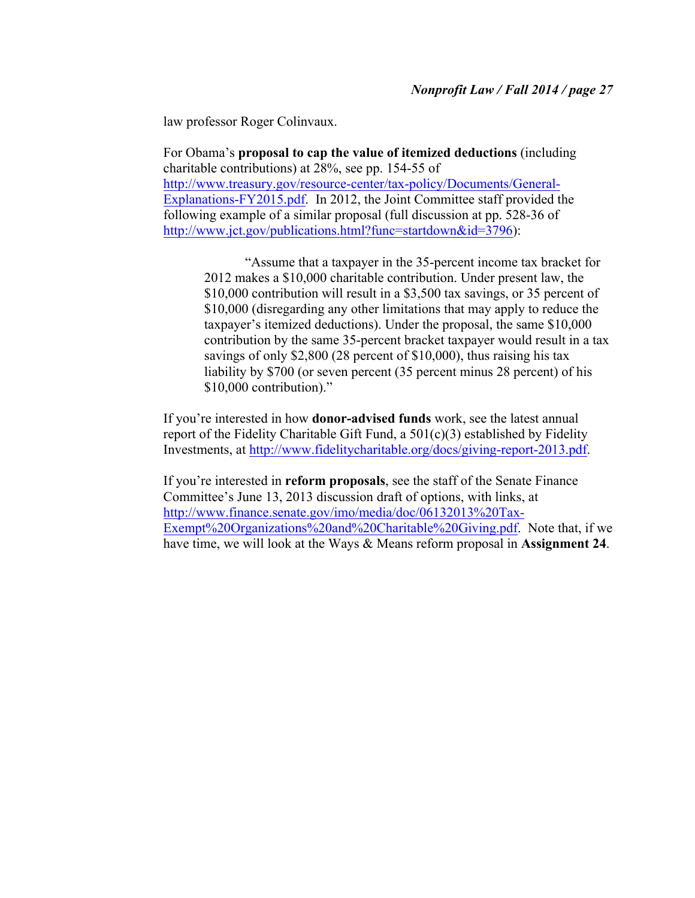law professor Roger Colinvaux.

For Obama's **proposal to cap the value of itemized deductions** (including charitable contributions) at 28%, see pp. 154-55 of http://www.treasury.gov/resource-center/tax-policy/Documents/General-Explanations-FY2015.pdf. In 2012, the Joint Committee staff provided the following example of a similar proposal (full discussion at pp. 528-36 of http://www.jct.gov/publications.html?func=startdown&id=3796):

"Assume that a taxpayer in the 35-percent income tax bracket for 2012 makes a \$10,000 charitable contribution. Under present law, the \$10,000 contribution will result in a \$3,500 tax savings, or 35 percent of \$10,000 (disregarding any other limitations that may apply to reduce the taxpayer's itemized deductions). Under the proposal, the same \$10,000 contribution by the same 35-percent bracket taxpayer would result in a tax savings of only \$2,800 (28 percent of \$10,000), thus raising his tax liability by \$700 (or seven percent (35 percent minus 28 percent) of his \$10,000 contribution)."

If you're interested in how **donor-advised funds** work, see the latest annual report of the Fidelity Charitable Gift Fund, a  $501(c)(3)$  established by Fidelity Investments, at http://www.fidelitycharitable.org/docs/giving-report-2013.pdf.

If you're interested in **reform proposals**, see the staff of the Senate Finance Committee's June 13, 2013 discussion draft of options, with links, at http://www.finance.senate.gov/imo/media/doc/06132013%20Tax-Exempt%20Organizations%20and%20Charitable%20Giving.pdf. Note that, if we have time, we will look at the Ways & Means reform proposal in **Assignment 24**.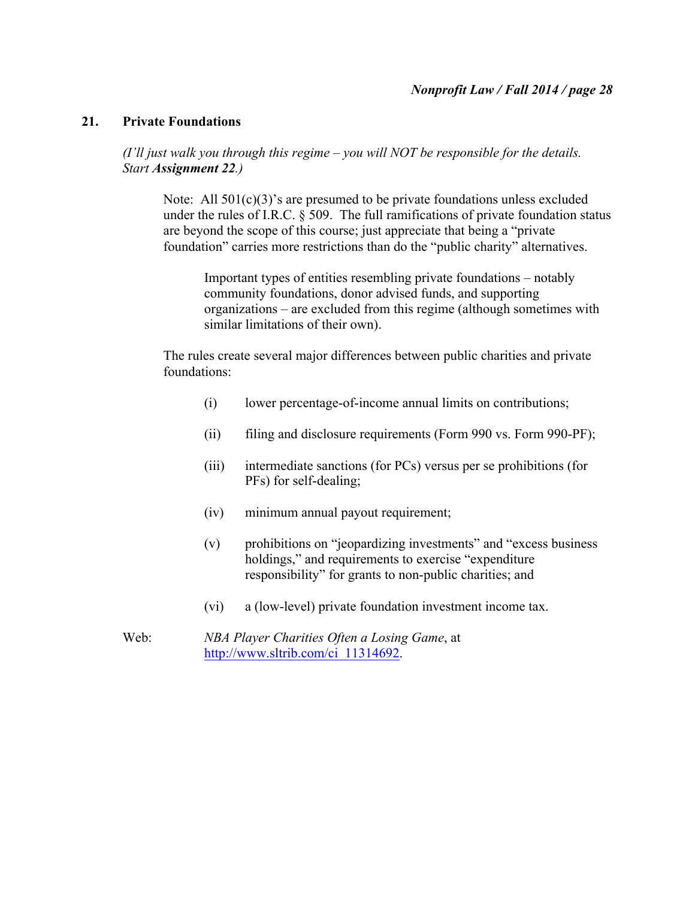### **21. Private Foundations**

*(I'll just walk you through this regime – you will NOT be responsible for the details. Start Assignment 22.)*

Note: All  $501(c)(3)$ 's are presumed to be private foundations unless excluded under the rules of I.R.C. § 509. The full ramifications of private foundation status are beyond the scope of this course; just appreciate that being a "private foundation" carries more restrictions than do the "public charity" alternatives.

Important types of entities resembling private foundations – notably community foundations, donor advised funds, and supporting organizations – are excluded from this regime (although sometimes with similar limitations of their own).

The rules create several major differences between public charities and private foundations:

- (i) lower percentage-of-income annual limits on contributions;
- (ii) filing and disclosure requirements (Form 990 vs. Form 990-PF);
- (iii) intermediate sanctions (for PCs) versus per se prohibitions (for PFs) for self-dealing;
- (iv) minimum annual payout requirement;
- (v) prohibitions on "jeopardizing investments" and "excess business holdings," and requirements to exercise "expenditure" responsibility" for grants to non-public charities; and
- (vi) a (low-level) private foundation investment income tax.
- Web: *NBA Player Charities Often a Losing Game*, at http://www.sltrib.com/ci\_11314692.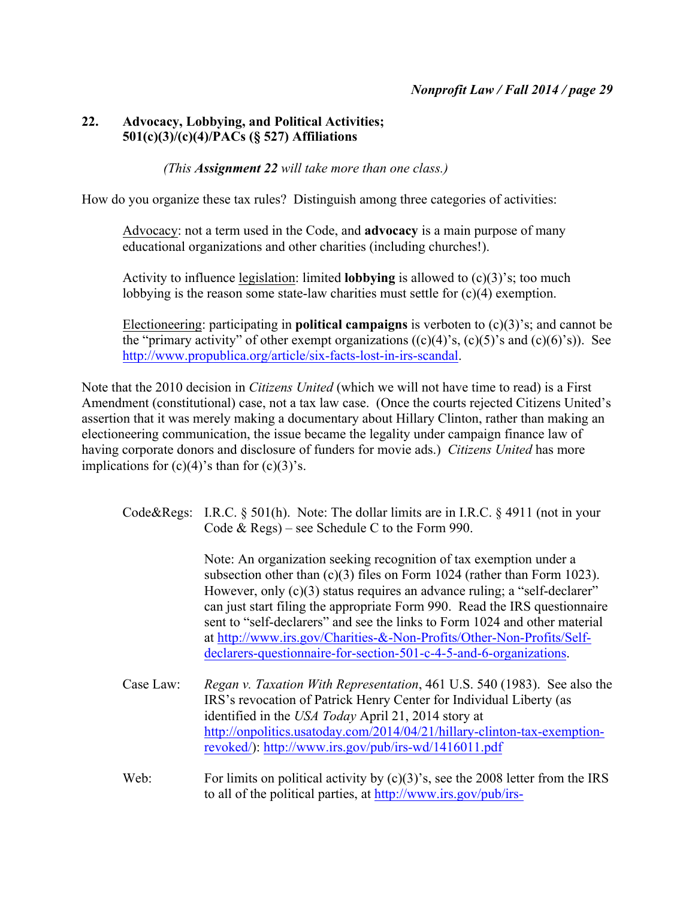# **22. Advocacy, Lobbying, and Political Activities; 501(c)(3)/(c)(4)/PACs (§ 527) Affiliations**

# *(This Assignment 22 will take more than one class.)*

How do you organize these tax rules? Distinguish among three categories of activities:

Advocacy: not a term used in the Code, and **advocacy** is a main purpose of many educational organizations and other charities (including churches!).

Activity to influence legislation: limited **lobbying** is allowed to (c)(3)'s; too much lobbying is the reason some state-law charities must settle for (c)(4) exemption.

Electioneering: participating in **political campaigns** is verboten to (c)(3)'s; and cannot be the "primary activity" of other exempt organizations  $((c)(4)$ 's,  $(c)(5)$ 's and  $(c)(6)$ 's)). See http://www.propublica.org/article/six-facts-lost-in-irs-scandal.

Note that the 2010 decision in *Citizens United* (which we will not have time to read) is a First Amendment (constitutional) case, not a tax law case. (Once the courts rejected Citizens United's assertion that it was merely making a documentary about Hillary Clinton, rather than making an electioneering communication, the issue became the legality under campaign finance law of having corporate donors and disclosure of funders for movie ads.) *Citizens United* has more implications for  $(c)(4)$ 's than for  $(c)(3)$ 's.

|  | Code&Regs: I.R.C. § 501(h). Note: The dollar limits are in I.R.C. § 4911 (not in your |
|--|---------------------------------------------------------------------------------------|
|  | Code $\&$ Regs) – see Schedule C to the Form 990.                                     |

Note: An organization seeking recognition of tax exemption under a subsection other than (c)(3) files on Form 1024 (rather than Form 1023). However, only (c)(3) status requires an advance ruling; a "self-declarer" can just start filing the appropriate Form 990. Read the IRS questionnaire sent to "self-declarers" and see the links to Form 1024 and other material at http://www.irs.gov/Charities-&-Non-Profits/Other-Non-Profits/Selfdeclarers-questionnaire-for-section-501-c-4-5-and-6-organizations.

- Case Law: *Regan v. Taxation With Representation*, 461 U.S. 540 (1983). See also the IRS's revocation of Patrick Henry Center for Individual Liberty (as identified in the *USA Today* April 21, 2014 story at http://onpolitics.usatoday.com/2014/04/21/hillary-clinton-tax-exemptionrevoked/): http://www.irs.gov/pub/irs-wd/1416011.pdf
- Web: For limits on political activity by (c)(3)'s, see the 2008 letter from the IRS to all of the political parties, at http://www.irs.gov/pub/irs-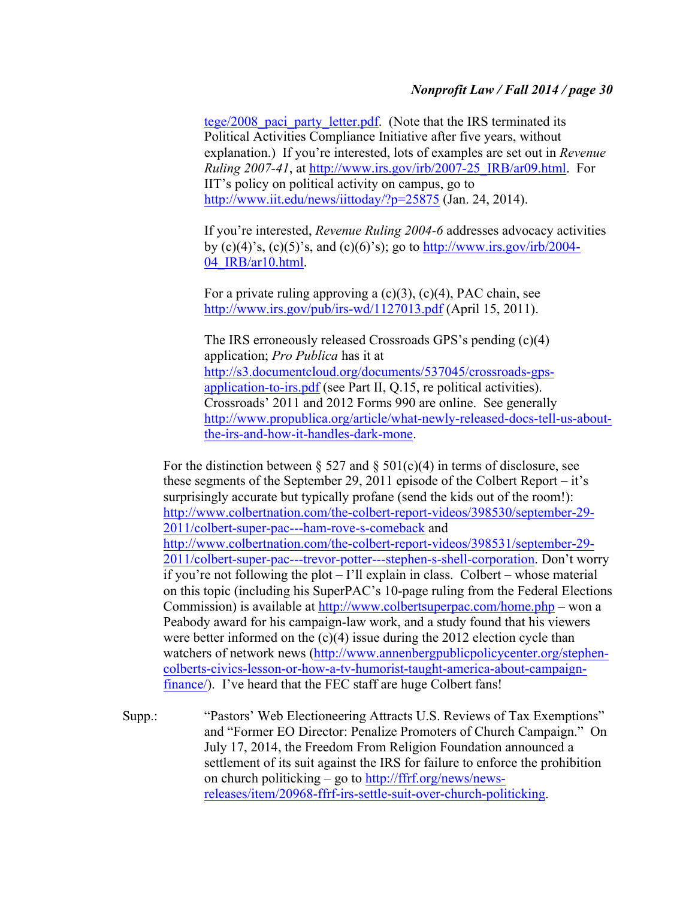tege/2008 paci party letter.pdf. (Note that the IRS terminated its Political Activities Compliance Initiative after five years, without explanation.) If you're interested, lots of examples are set out in *Revenue Ruling 2007-41*, at http://www.irs.gov/irb/2007-25\_IRB/ar09.html. For IIT's policy on political activity on campus, go to http://www.iit.edu/news/iittoday/?p=25875 (Jan. 24, 2014).

If you're interested, *Revenue Ruling 2004-6* addresses advocacy activities by (c)(4)'s, (c)(5)'s, and (c)(6)'s); go to http://www.irs.gov/irb/2004-04\_IRB/ar10.html.

For a private ruling approving a  $(c)(3)$ ,  $(c)(4)$ , PAC chain, see http://www.irs.gov/pub/irs-wd/1127013.pdf (April 15, 2011).

The IRS erroneously released Crossroads GPS's pending (c)(4) application; *Pro Publica* has it at http://s3.documentcloud.org/documents/537045/crossroads-gpsapplication-to-irs.pdf (see Part II, Q.15, re political activities). Crossroads' 2011 and 2012 Forms 990 are online. See generally http://www.propublica.org/article/what-newly-released-docs-tell-us-aboutthe-irs-and-how-it-handles-dark-mone.

For the distinction between § 527 and § 501(c)(4) in terms of disclosure, see these segments of the September 29, 2011 episode of the Colbert Report – it's surprisingly accurate but typically profane (send the kids out of the room!): http://www.colbertnation.com/the-colbert-report-videos/398530/september-29- 2011/colbert-super-pac---ham-rove-s-comeback and http://www.colbertnation.com/the-colbert-report-videos/398531/september-29- 2011/colbert-super-pac---trevor-potter---stephen-s-shell-corporation. Don't worry if you're not following the plot – I'll explain in class. Colbert – whose material on this topic (including his SuperPAC's 10-page ruling from the Federal Elections Commission) is available at http://www.colbertsuperpac.com/home.php – won a Peabody award for his campaign-law work, and a study found that his viewers were better informed on the (c)(4) issue during the 2012 election cycle than watchers of network news (http://www.annenbergpublicpolicycenter.org/stephencolberts-civics-lesson-or-how-a-tv-humorist-taught-america-about-campaignfinance/). I've heard that the FEC staff are huge Colbert fans!

Supp.: "Pastors' Web Electioneering Attracts U.S. Reviews of Tax Exemptions" and "Former EO Director: Penalize Promoters of Church Campaign." On July 17, 2014, the Freedom From Religion Foundation announced a settlement of its suit against the IRS for failure to enforce the prohibition on church politicking – go to http://ffrf.org/news/newsreleases/item/20968-ffrf-irs-settle-suit-over-church-politicking.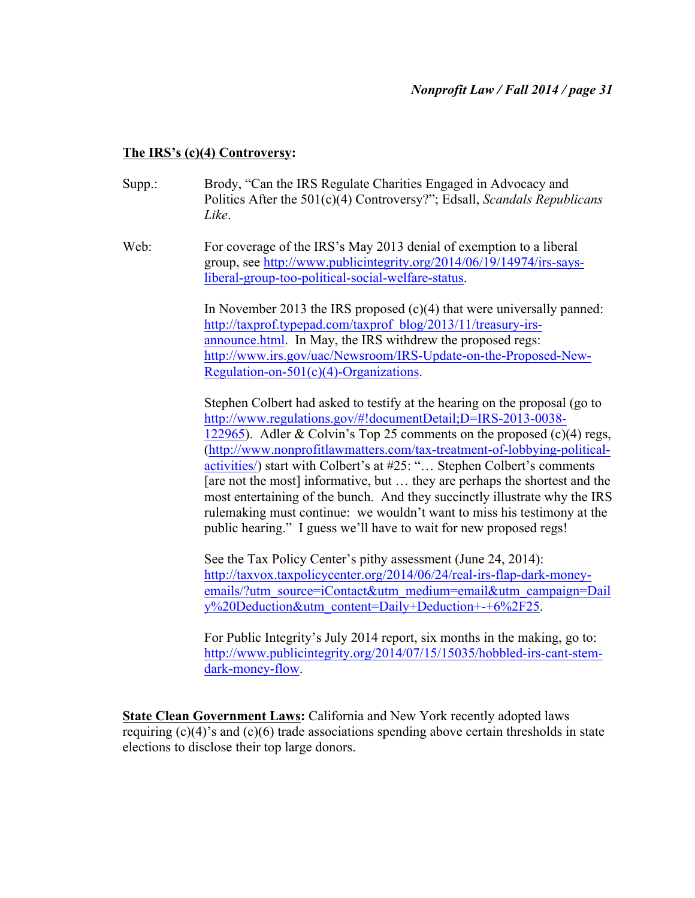# **The IRS's (c)(4) Controversy:**

- Supp.: Brody, "Can the IRS Regulate Charities Engaged in Advocacy and Politics After the 501(c)(4) Controversy?"; Edsall, *Scandals Republicans Like*.
- Web: For coverage of the IRS's May 2013 denial of exemption to a liberal group, see http://www.publicintegrity.org/2014/06/19/14974/irs-saysliberal-group-too-political-social-welfare-status.

In November 2013 the IRS proposed (c)(4) that were universally panned: http://taxprof.typepad.com/taxprof\_blog/2013/11/treasury-irsannounce.html. In May, the IRS withdrew the proposed regs: http://www.irs.gov/uac/Newsroom/IRS-Update-on-the-Proposed-New-Regulation-on-501(c)(4)-Organizations.

Stephen Colbert had asked to testify at the hearing on the proposal (go to http://www.regulations.gov/#!documentDetail;D=IRS-2013-0038- 122965). Adler & Colvin's Top 25 comments on the proposed (c)(4) regs, (http://www.nonprofitlawmatters.com/tax-treatment-of-lobbying-politicalactivities/) start with Colbert's at #25: "… Stephen Colbert's comments [are not the most] informative, but … they are perhaps the shortest and the most entertaining of the bunch. And they succinctly illustrate why the IRS rulemaking must continue: we wouldn't want to miss his testimony at the public hearing." I guess we'll have to wait for new proposed regs!

See the Tax Policy Center's pithy assessment (June 24, 2014): http://taxvox.taxpolicycenter.org/2014/06/24/real-irs-flap-dark-moneyemails/?utm\_source=iContact&utm\_medium=email&utm\_campaign=Dail y%20Deduction&utm\_content=Daily+Deduction+-+6%2F25.

For Public Integrity's July 2014 report, six months in the making, go to: http://www.publicintegrity.org/2014/07/15/15035/hobbled-irs-cant-stemdark-money-flow.

**State Clean Government Laws: California and New York recently adopted laws** requiring  $(c)(4)$ 's and  $(c)(6)$  trade associations spending above certain thresholds in state elections to disclose their top large donors.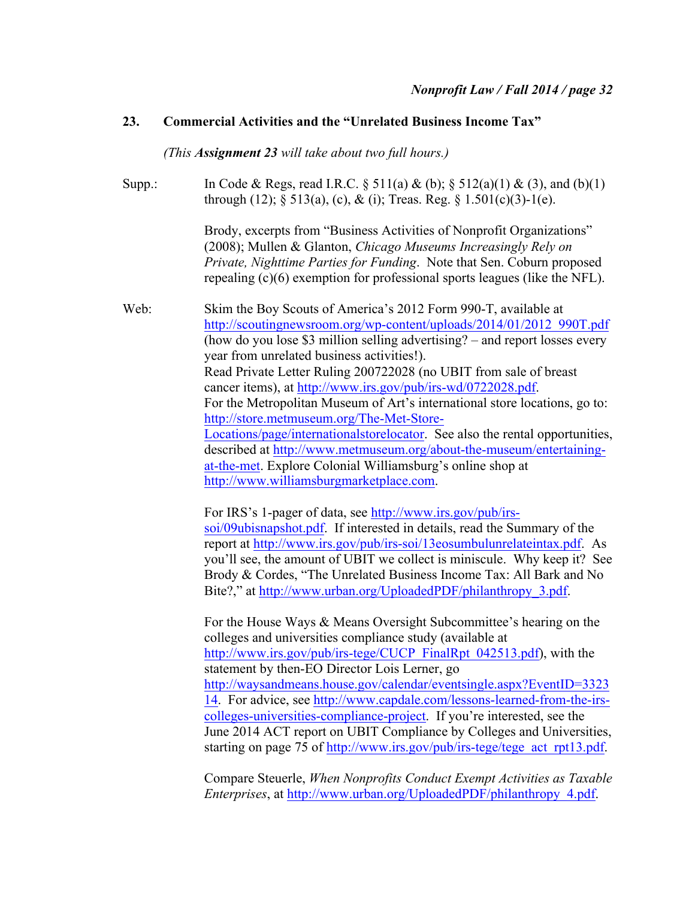### **23. Commercial Activities and the "Unrelated Business Income Tax"**

*(This Assignment 23 will take about two full hours.)*

Supp.: In Code & Regs, read I.R.C. § 511(a) & (b); § 512(a)(1) & (3), and (b)(1) through (12);  $\S$  513(a), (c), & (i); Treas. Reg.  $\S$  1.501(c)(3)-1(e).

> Brody, excerpts from "Business Activities of Nonprofit Organizations" (2008); Mullen & Glanton, *Chicago Museums Increasingly Rely on Private, Nighttime Parties for Funding*. Note that Sen. Coburn proposed repealing (c)(6) exemption for professional sports leagues (like the NFL).

Web: Skim the Boy Scouts of America's 2012 Form 990-T, available at http://scoutingnewsroom.org/wp-content/uploads/2014/01/2012\_990T.pdf (how do you lose \$3 million selling advertising? – and report losses every year from unrelated business activities!). Read Private Letter Ruling 200722028 (no UBIT from sale of breast cancer items), at http://www.irs.gov/pub/irs-wd/0722028.pdf. For the Metropolitan Museum of Art's international store locations, go to: http://store.metmuseum.org/The-Met-Store-Locations/page/internationalstorelocator. See also the rental opportunities, described at http://www.metmuseum.org/about-the-museum/entertainingat-the-met. Explore Colonial Williamsburg's online shop at http://www.williamsburgmarketplace.com.

> For IRS's 1-pager of data, see http://www.irs.gov/pub/irssoi/09ubisnapshot.pdf. If interested in details, read the Summary of the report at http://www.irs.gov/pub/irs-soi/13eosumbulunrelateintax.pdf. As you'll see, the amount of UBIT we collect is miniscule. Why keep it? See Brody & Cordes, "The Unrelated Business Income Tax: All Bark and No Bite?," at http://www.urban.org/UploadedPDF/philanthropy\_3.pdf.

> For the House Ways & Means Oversight Subcommittee's hearing on the colleges and universities compliance study (available at http://www.irs.gov/pub/irs-tege/CUCP\_FinalRpt\_042513.pdf), with the statement by then-EO Director Lois Lerner, go http://waysandmeans.house.gov/calendar/eventsingle.aspx?EventID=3323 14. For advice, see http://www.capdale.com/lessons-learned-from-the-irscolleges-universities-compliance-project. If you're interested, see the June 2014 ACT report on UBIT Compliance by Colleges and Universities, starting on page 75 of http://www.irs.gov/pub/irs-tege/tege\_act\_rpt13.pdf.

> Compare Steuerle, *When Nonprofits Conduct Exempt Activities as Taxable Enterprises*, at http://www.urban.org/UploadedPDF/philanthropy\_4.pdf.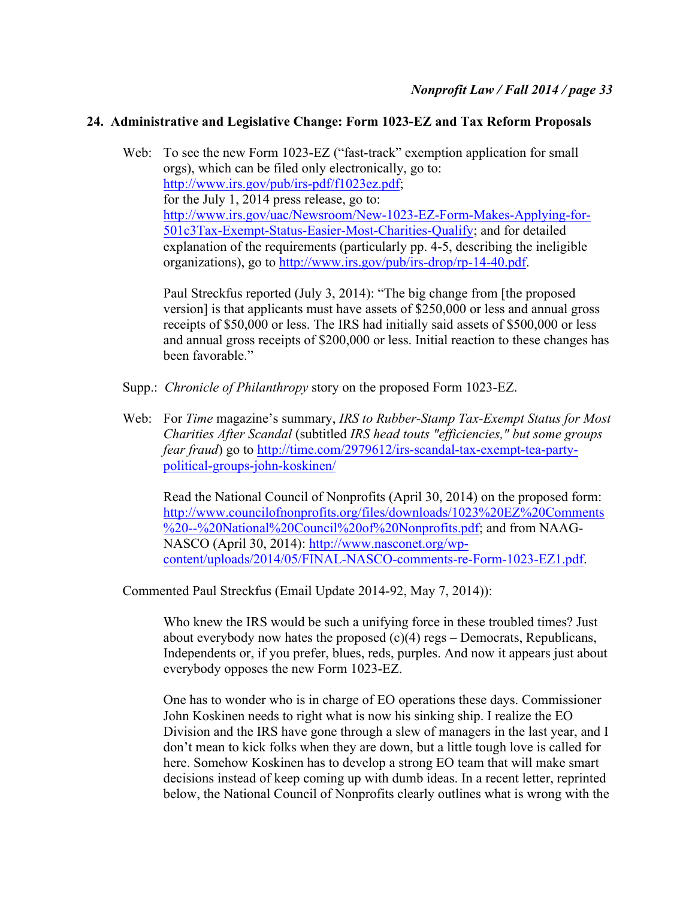# **24. Administrative and Legislative Change: Form 1023-EZ and Tax Reform Proposals**

Web: To see the new Form 1023-EZ ("fast-track" exemption application for small orgs), which can be filed only electronically, go to: http://www.irs.gov/pub/irs-pdf/f1023ez.pdf; for the July 1, 2014 press release, go to: http://www.irs.gov/uac/Newsroom/New-1023-EZ-Form-Makes-Applying-for-501c3Tax-Exempt-Status-Easier-Most-Charities-Qualify; and for detailed explanation of the requirements (particularly pp. 4-5, describing the ineligible organizations), go to http://www.irs.gov/pub/irs-drop/rp-14-40.pdf.

Paul Streckfus reported (July 3, 2014): "The big change from [the proposed version] is that applicants must have assets of \$250,000 or less and annual gross receipts of \$50,000 or less. The IRS had initially said assets of \$500,000 or less and annual gross receipts of \$200,000 or less. Initial reaction to these changes has been favorable."

- Supp.: *Chronicle of Philanthropy* story on the proposed Form 1023-EZ.
- Web: For *Time* magazine's summary, *IRS to Rubber-Stamp Tax-Exempt Status for Most Charities After Scandal* (subtitled *IRS head touts "efficiencies," but some groups fear fraud*) go to http://time.com/2979612/irs-scandal-tax-exempt-tea-partypolitical-groups-john-koskinen/

Read the National Council of Nonprofits (April 30, 2014) on the proposed form: http://www.councilofnonprofits.org/files/downloads/1023%20EZ%20Comments %20--%20National%20Council%20of%20Nonprofits.pdf; and from NAAG-NASCO (April 30, 2014): http://www.nasconet.org/wpcontent/uploads/2014/05/FINAL-NASCO-comments-re-Form-1023-EZ1.pdf.

Commented Paul Streckfus (Email Update 2014-92, May 7, 2014)):

Who knew the IRS would be such a unifying force in these troubled times? Just about everybody now hates the proposed  $(c)(4)$  regs – Democrats, Republicans, Independents or, if you prefer, blues, reds, purples. And now it appears just about everybody opposes the new Form 1023-EZ.

One has to wonder who is in charge of EO operations these days. Commissioner John Koskinen needs to right what is now his sinking ship. I realize the EO Division and the IRS have gone through a slew of managers in the last year, and I don't mean to kick folks when they are down, but a little tough love is called for here. Somehow Koskinen has to develop a strong EO team that will make smart decisions instead of keep coming up with dumb ideas. In a recent letter, reprinted below, the National Council of Nonprofits clearly outlines what is wrong with the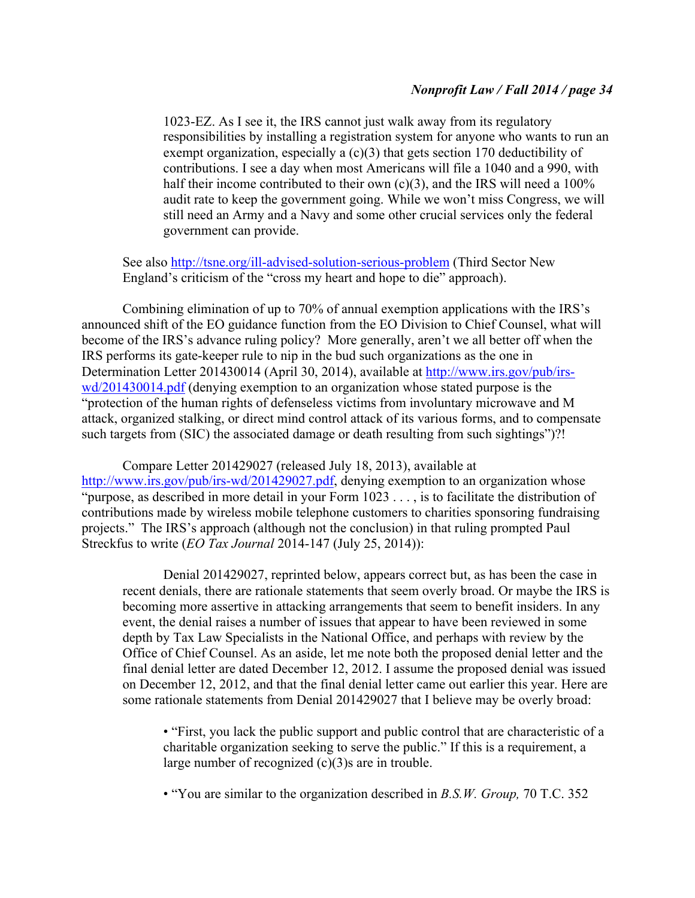1023-EZ. As I see it, the IRS cannot just walk away from its regulatory responsibilities by installing a registration system for anyone who wants to run an exempt organization, especially a (c)(3) that gets section 170 deductibility of contributions. I see a day when most Americans will file a 1040 and a 990, with half their income contributed to their own  $(c)(3)$ , and the IRS will need a 100% audit rate to keep the government going. While we won't miss Congress, we will still need an Army and a Navy and some other crucial services only the federal government can provide.

See also http://tsne.org/ill-advised-solution-serious-problem (Third Sector New England's criticism of the "cross my heart and hope to die" approach).

Combining elimination of up to 70% of annual exemption applications with the IRS's announced shift of the EO guidance function from the EO Division to Chief Counsel, what will become of the IRS's advance ruling policy? More generally, aren't we all better off when the IRS performs its gate-keeper rule to nip in the bud such organizations as the one in Determination Letter 201430014 (April 30, 2014), available at http://www.irs.gov/pub/irswd/201430014.pdf (denying exemption to an organization whose stated purpose is the "protection of the human rights of defenseless victims from involuntary microwave and M attack, organized stalking, or direct mind control attack of its various forms, and to compensate such targets from (SIC) the associated damage or death resulting from such sightings")?!

Compare Letter 201429027 (released July 18, 2013), available at http://www.irs.gov/pub/irs-wd/201429027.pdf, denying exemption to an organization whose "purpose, as described in more detail in your Form 1023 . . . , is to facilitate the distribution of contributions made by wireless mobile telephone customers to charities sponsoring fundraising projects." The IRS's approach (although not the conclusion) in that ruling prompted Paul Streckfus to write (*EO Tax Journal* 2014-147 (July 25, 2014)):

Denial 201429027, reprinted below, appears correct but, as has been the case in recent denials, there are rationale statements that seem overly broad. Or maybe the IRS is becoming more assertive in attacking arrangements that seem to benefit insiders. In any event, the denial raises a number of issues that appear to have been reviewed in some depth by Tax Law Specialists in the National Office, and perhaps with review by the Office of Chief Counsel. As an aside, let me note both the proposed denial letter and the final denial letter are dated December 12, 2012. I assume the proposed denial was issued on December 12, 2012, and that the final denial letter came out earlier this year. Here are some rationale statements from Denial 201429027 that I believe may be overly broad:

• "First, you lack the public support and public control that are characteristic of a charitable organization seeking to serve the public." If this is a requirement, a large number of recognized (c)(3)s are in trouble.

• "You are similar to the organization described in *B.S.W. Group,* 70 T.C. 352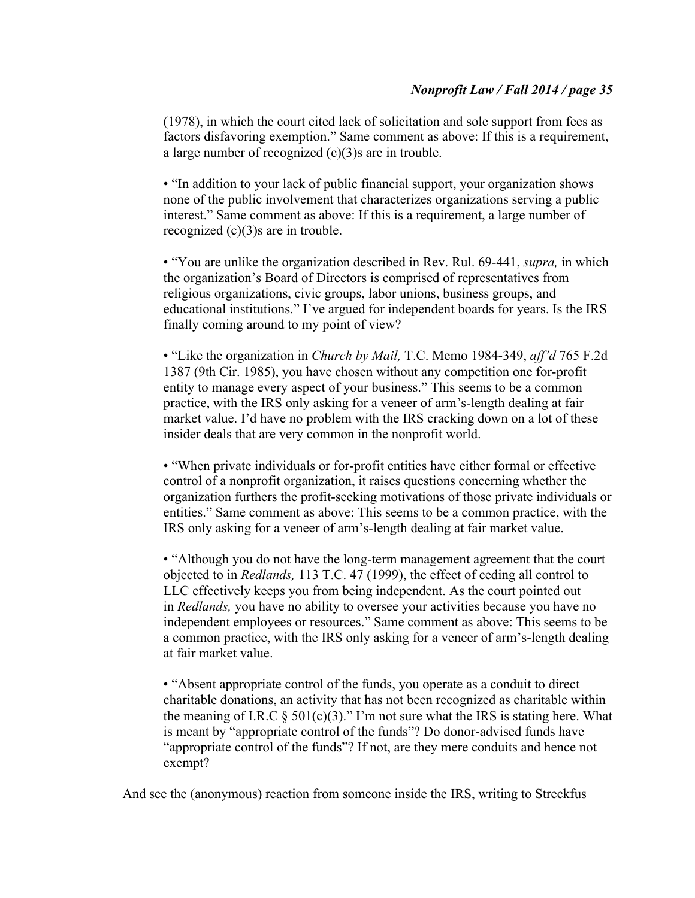(1978), in which the court cited lack of solicitation and sole support from fees as factors disfavoring exemption." Same comment as above: If this is a requirement, a large number of recognized (c)(3)s are in trouble.

• "In addition to your lack of public financial support, your organization shows none of the public involvement that characterizes organizations serving a public interest." Same comment as above: If this is a requirement, a large number of recognized (c)(3)s are in trouble.

• "You are unlike the organization described in Rev. Rul. 69-441, *supra,* in which the organization's Board of Directors is comprised of representatives from religious organizations, civic groups, labor unions, business groups, and educational institutions." I've argued for independent boards for years. Is the IRS finally coming around to my point of view?

• "Like the organization in *Church by Mail,* T.C. Memo 1984-349, *aff'd* 765 F.2d 1387 (9th Cir. 1985), you have chosen without any competition one for-profit entity to manage every aspect of your business." This seems to be a common practice, with the IRS only asking for a veneer of arm's-length dealing at fair market value. I'd have no problem with the IRS cracking down on a lot of these insider deals that are very common in the nonprofit world.

• "When private individuals or for-profit entities have either formal or effective control of a nonprofit organization, it raises questions concerning whether the organization furthers the profit-seeking motivations of those private individuals or entities." Same comment as above: This seems to be a common practice, with the IRS only asking for a veneer of arm's-length dealing at fair market value.

• "Although you do not have the long-term management agreement that the court objected to in *Redlands,* 113 T.C. 47 (1999), the effect of ceding all control to LLC effectively keeps you from being independent. As the court pointed out in *Redlands,* you have no ability to oversee your activities because you have no independent employees or resources." Same comment as above: This seems to be a common practice, with the IRS only asking for a veneer of arm's-length dealing at fair market value.

• "Absent appropriate control of the funds, you operate as a conduit to direct charitable donations, an activity that has not been recognized as charitable within the meaning of I.R.C  $\S$  501(c)(3)." I'm not sure what the IRS is stating here. What is meant by "appropriate control of the funds"? Do donor-advised funds have "appropriate control of the funds"? If not, are they mere conduits and hence not exempt?

And see the (anonymous) reaction from someone inside the IRS, writing to Streckfus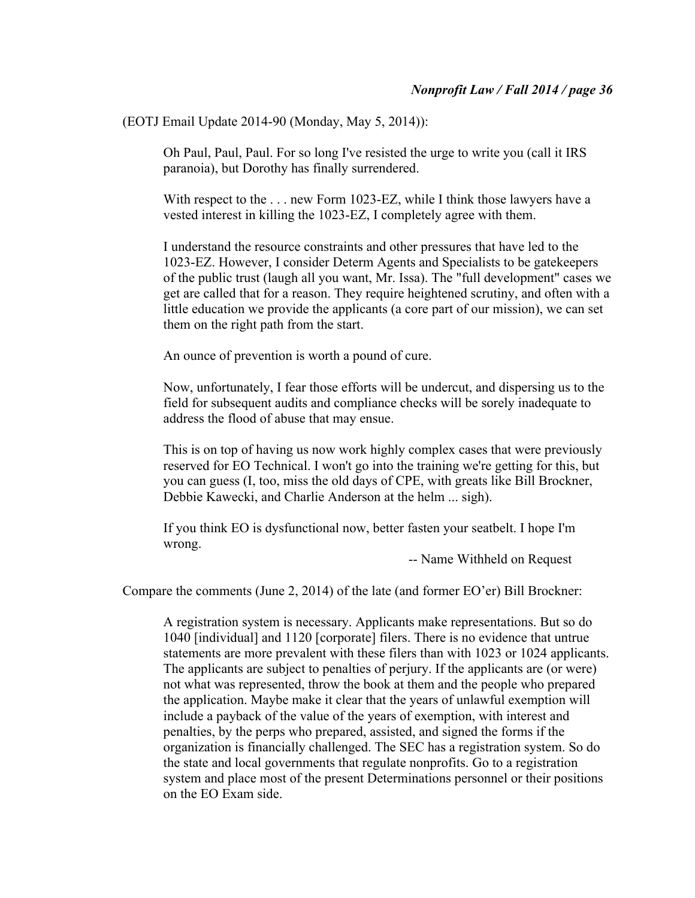(EOTJ Email Update 2014-90 (Monday, May 5, 2014)):

Oh Paul, Paul, Paul. For so long I've resisted the urge to write you (call it IRS paranoia), but Dorothy has finally surrendered.

With respect to the . . . new Form 1023-EZ, while I think those lawyers have a vested interest in killing the 1023-EZ, I completely agree with them.

I understand the resource constraints and other pressures that have led to the 1023-EZ. However, I consider Determ Agents and Specialists to be gatekeepers of the public trust (laugh all you want, Mr. Issa). The "full development" cases we get are called that for a reason. They require heightened scrutiny, and often with a little education we provide the applicants (a core part of our mission), we can set them on the right path from the start.

An ounce of prevention is worth a pound of cure.

Now, unfortunately, I fear those efforts will be undercut, and dispersing us to the field for subsequent audits and compliance checks will be sorely inadequate to address the flood of abuse that may ensue.

This is on top of having us now work highly complex cases that were previously reserved for EO Technical. I won't go into the training we're getting for this, but you can guess (I, too, miss the old days of CPE, with greats like Bill Brockner, Debbie Kawecki, and Charlie Anderson at the helm ... sigh).

If you think EO is dysfunctional now, better fasten your seatbelt. I hope I'm wrong.

-- Name Withheld on Request

Compare the comments (June 2, 2014) of the late (and former EO'er) Bill Brockner:

A registration system is necessary. Applicants make representations. But so do 1040 [individual] and 1120 [corporate] filers. There is no evidence that untrue statements are more prevalent with these filers than with 1023 or 1024 applicants. The applicants are subject to penalties of perjury. If the applicants are (or were) not what was represented, throw the book at them and the people who prepared the application. Maybe make it clear that the years of unlawful exemption will include a payback of the value of the years of exemption, with interest and penalties, by the perps who prepared, assisted, and signed the forms if the organization is financially challenged. The SEC has a registration system. So do the state and local governments that regulate nonprofits. Go to a registration system and place most of the present Determinations personnel or their positions on the EO Exam side.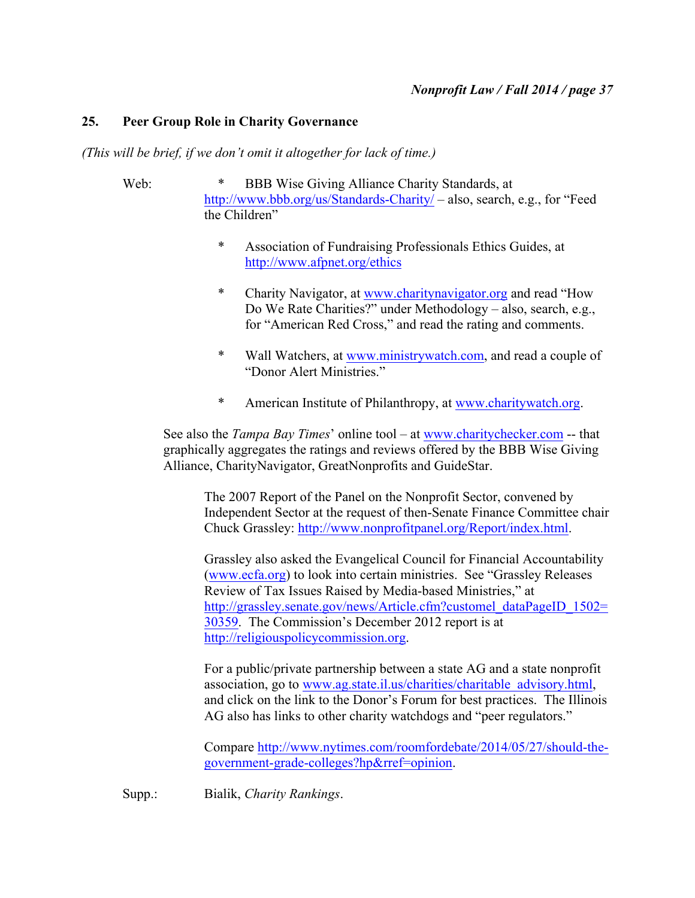# **25. Peer Group Role in Charity Governance**

*(This will be brief, if we don't omit it altogether for lack of time.)*

- Web: \* BBB Wise Giving Alliance Charity Standards, at http://www.bbb.org/us/Standards-Charity/ – also, search, e.g., for "Feed the Children"
	- \* Association of Fundraising Professionals Ethics Guides, at http://www.afpnet.org/ethics
	- \* Charity Navigator, at www.charitynavigator.org and read "How Do We Rate Charities?" under Methodology – also, search, e.g., for "American Red Cross," and read the rating and comments.
	- \* Wall Watchers, at www.ministrywatch.com, and read a couple of "Donor Alert Ministries."
	- \* American Institute of Philanthropy, at www.charitywatch.org.

See also the *Tampa Bay Times*' online tool – at www.charitychecker.com -- that graphically aggregates the ratings and reviews offered by the BBB Wise Giving Alliance, CharityNavigator, GreatNonprofits and GuideStar.

The 2007 Report of the Panel on the Nonprofit Sector, convened by Independent Sector at the request of then-Senate Finance Committee chair Chuck Grassley: http://www.nonprofitpanel.org/Report/index.html.

Grassley also asked the Evangelical Council for Financial Accountability (www.ecfa.org) to look into certain ministries. See "Grassley Releases Review of Tax Issues Raised by Media-based Ministries," at http://grassley.senate.gov/news/Article.cfm?customel\_dataPageID\_1502= 30359. The Commission's December 2012 report is at http://religiouspolicycommission.org.

For a public/private partnership between a state AG and a state nonprofit association, go to www.ag.state.il.us/charities/charitable\_advisory.html, and click on the link to the Donor's Forum for best practices. The Illinois AG also has links to other charity watchdogs and "peer regulators."

Compare http://www.nytimes.com/roomfordebate/2014/05/27/should-thegovernment-grade-colleges?hp&rref=opinion.

Supp.: Bialik, *Charity Rankings*.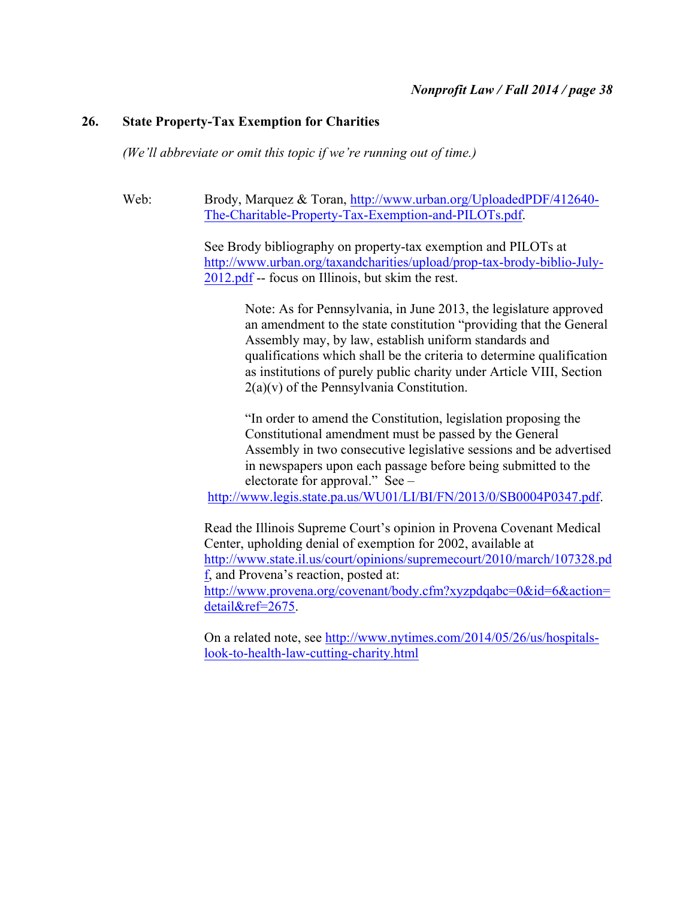### **26. State Property-Tax Exemption for Charities**

*(We'll abbreviate or omit this topic if we're running out of time.)*

Web: Brody, Marquez & Toran, http://www.urban.org/UploadedPDF/412640- The-Charitable-Property-Tax-Exemption-and-PILOTs.pdf.

> See Brody bibliography on property-tax exemption and PILOTs at http://www.urban.org/taxandcharities/upload/prop-tax-brody-biblio-July-2012.pdf -- focus on Illinois, but skim the rest.

> > Note: As for Pennsylvania, in June 2013, the legislature approved an amendment to the state constitution "providing that the General Assembly may, by law, establish uniform standards and qualifications which shall be the criteria to determine qualification as institutions of purely public charity under Article VIII, Section 2(a)(v) of the Pennsylvania Constitution.

> > "In order to amend the Constitution, legislation proposing the Constitutional amendment must be passed by the General Assembly in two consecutive legislative sessions and be advertised in newspapers upon each passage before being submitted to the electorate for approval." See –

http://www.legis.state.pa.us/WU01/LI/BI/FN/2013/0/SB0004P0347.pdf.

Read the Illinois Supreme Court's opinion in Provena Covenant Medical Center, upholding denial of exemption for 2002, available at http://www.state.il.us/court/opinions/supremecourt/2010/march/107328.pd f, and Provena's reaction, posted at: http://www.provena.org/covenant/body.cfm?xyzpdqabc=0&id=6&action= detail&ref=2675.

On a related note, see http://www.nytimes.com/2014/05/26/us/hospitalslook-to-health-law-cutting-charity.html